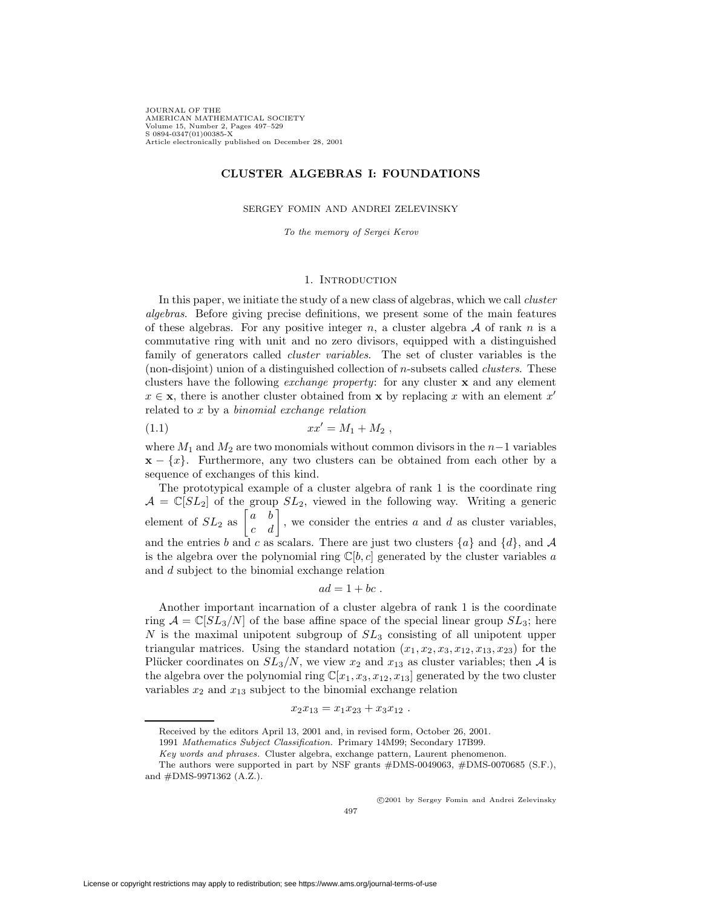JOURNAL OF THE AMERICAN MATHEMATICAL SOCIETY Volume 15, Number 2, Pages 497–529 S 0894-0347(01)00385-X Article electronically published on December 28, 2001

# **CLUSTER ALGEBRAS I: FOUNDATIONS**

SERGEY FOMIN AND ANDREI ZELEVINSKY

To the memory of Sergei Kerov

### 1. INTRODUCTION

<span id="page-0-1"></span>In this paper, we initiate the study of a new class of algebras, which we call *cluster* algebras. Before giving precise definitions, we present some of the main features of these algebras. For any positive integer n, a cluster algebra  $A$  of rank n is a commutative ring with unit and no zero divisors, equipped with a distinguished family of generators called *cluster variables*. The set of cluster variables is the (non-disjoint) union of a distinguished collection of n-subsets called clusters. These clusters have the following exchange property: for any cluster **x** and any element  $x \in \mathbf{x}$ , there is another cluster obtained from **x** by replacing x with an element x' related to  $x$  by a binomial exchange relation

<span id="page-0-0"></span>(1.1) 
$$
xx' = M_1 + M_2,
$$

where  $M_1$  and  $M_2$  are two monomials without common divisors in the  $n-1$  variables  $\mathbf{x} - \{x\}$ . Furthermore, any two clusters can be obtained from each other by a sequence of exchanges of this kind.

The prototypical example of a cluster algebra of rank 1 is the coordinate ring  $\mathcal{A} = \mathbb{C}[SL_2]$  of the group  $SL_2$ , viewed in the following way. Writing a generic element of  $SL_2$  as  $\begin{bmatrix} a & b \\ c & d \end{bmatrix}$ , we consider the entries a and d as cluster variables, and the entries b and c as scalars. There are just two clusters  $\{a\}$  and  $\{d\}$ , and A is the algebra over the polynomial ring  $\mathbb{C}[b, c]$  generated by the cluster variables a and d subject to the binomial exchange relation

$$
ad=1+bc.
$$

Another important incarnation of a cluster algebra of rank 1 is the coordinate ring  $A = \mathbb{C}[SL_3/N]$  of the base affine space of the special linear group  $SL_3$ ; here N is the maximal unipotent subgroup of  $SL_3$  consisting of all unipotent upper triangular matrices. Using the standard notation  $(x_1, x_2, x_3, x_{12}, x_{13}, x_{23})$  for the Plücker coordinates on  $SL_3/N$ , we view  $x_2$  and  $x_{13}$  as cluster variables; then A is the algebra over the polynomial ring  $\mathbb{C}[x_1, x_3, x_{12}, x_{13}]$  generated by the two cluster variables  $x_2$  and  $x_{13}$  subject to the binomial exchange relation

$$
x_2x_{13}=x_1x_{23}+x_3x_{12}.
$$

c 2001 by Sergey Fomin and Andrei Zelevinsky

Received by the editors April 13, 2001 and, in revised form, October 26, 2001.

<sup>1991</sup> Mathematics Subject Classification. Primary 14M99; Secondary 17B99.

Key words and phrases. Cluster algebra, exchange pattern, Laurent phenomenon.

The authors were supported in part by NSF grants #DMS-0049063, #DMS-0070685 (S.F.), and #DMS-9971362 (A.Z.).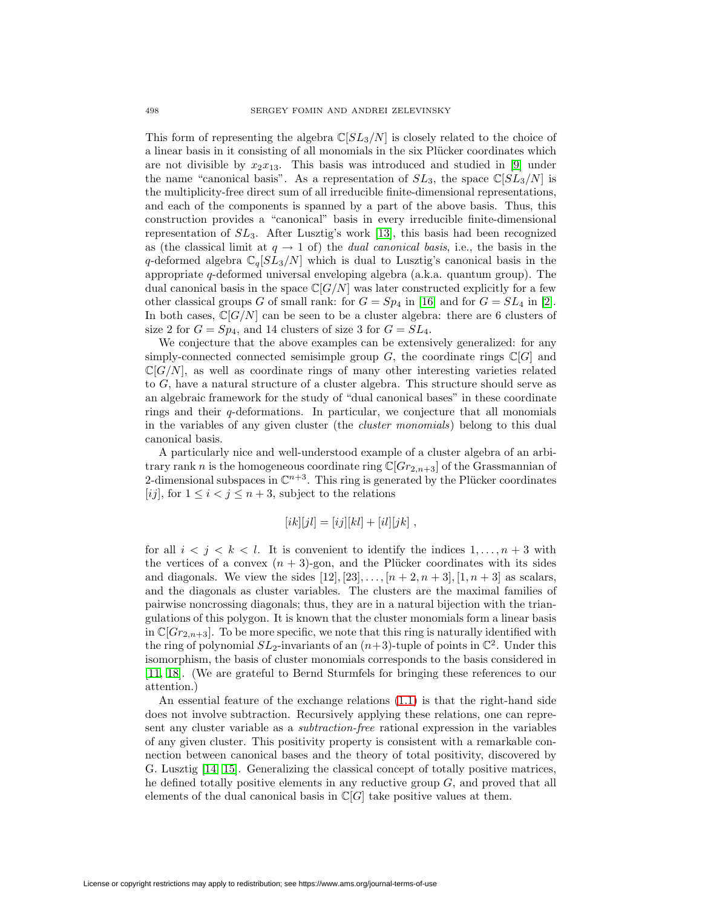This form of representing the algebra  $\mathbb{C}[SL_3/N]$  is closely related to the choice of a linear basis in it consisting of all monomials in the six Plücker coordinates which are not divisible by  $x_2x_{13}$ . This basis was introduced and studied in [\[9\]](#page-32-0) under the name "canonical basis". As a representation of  $SL_3$ , the space  $\mathbb{C}[SL_3/N]$  is the multiplicity-free direct sum of all irreducible finite-dimensional representations, and each of the components is spanned by a part of the above basis. Thus, this construction provides a "canonical" basis in every irreducible finite-dimensional representation of  $SL_3$ . After Lusztig's work [\[13\]](#page-32-1), this basis had been recognized as (the classical limit at  $q \to 1$  of) the *dual canonical basis*, i.e., the basis in the q-deformed algebra  $\mathbb{C}_q[SL_3/N]$  which is dual to Lusztig's canonical basis in the appropriate q-deformed universal enveloping algebra (a.k.a. quantum group). The dual canonical basis in the space  $\mathbb{C}[G/N]$  was later constructed explicitly for a few other classical groups G of small rank: for  $G = Sp_4$  in [\[16\]](#page-32-2) and for  $G = SL_4$  in [\[2\]](#page-31-0). In both cases,  $\mathbb{C}[G/N]$  can be seen to be a cluster algebra: there are 6 clusters of size 2 for  $G = Sp_4$ , and 14 clusters of size 3 for  $G = SL_4$ .

We conjecture that the above examples can be extensively generalized: for any simply-connected connected semisimple group  $G$ , the coordinate rings  $\mathbb{C}[G]$  and  $\mathbb{C}[G/N]$ , as well as coordinate rings of many other interesting varieties related to G, have a natural structure of a cluster algebra. This structure should serve as an algebraic framework for the study of "dual canonical bases" in these coordinate rings and their  $q$ -deformations. In particular, we conjecture that all monomials in the variables of any given cluster (the cluster monomials) belong to this dual canonical basis.

A particularly nice and well-understood example of a cluster algebra of an arbitrary rank n is the homogeneous coordinate ring  $\mathbb{C}[Gr_{2,n+3}]$  of the Grassmannian of 2-dimensional subspaces in  $\mathbb{C}^{n+3}$ . This ring is generated by the Plücker coordinates [ij], for  $1 \leq i < j \leq n+3$ , subject to the relations

$$
[ik][jl] = [ij][kl] + [il][jk],
$$

for all  $i < j < k < l$ . It is convenient to identify the indices  $1, \ldots, n + 3$  with the vertices of a convex  $(n + 3)$ -gon, and the Plücker coordinates with its sides and diagonals. We view the sides  $[12], [23],..., [n+2, n+3], [1, n+3]$  as scalars, and the diagonals as cluster variables. The clusters are the maximal families of pairwise noncrossing diagonals; thus, they are in a natural bijection with the triangulations of this polygon. It is known that the cluster monomials form a linear basis in  $\mathbb{C}[Gr_{2,n+3}]$ . To be more specific, we note that this ring is naturally identified with the ring of polynomial  $SL_2$ -invariants of an  $(n+3)$ -tuple of points in  $\mathbb{C}^2$ . Under this isomorphism, the basis of cluster monomials corresponds to the basis considered in [\[11,](#page-32-3) [18\]](#page-32-4). (We are grateful to Bernd Sturmfels for bringing these references to our attention.)

An essential feature of the exchange relations [\(1.1\)](#page-0-0) is that the right-hand side does not involve subtraction. Recursively applying these relations, one can represent any cluster variable as a subtraction-free rational expression in the variables of any given cluster. This positivity property is consistent with a remarkable connection between canonical bases and the theory of total positivity, discovered by G. Lusztig [\[14,](#page-32-5) [15\]](#page-32-6). Generalizing the classical concept of totally positive matrices, he defined totally positive elements in any reductive group  $G$ , and proved that all elements of the dual canonical basis in  $\mathbb{C}[G]$  take positive values at them.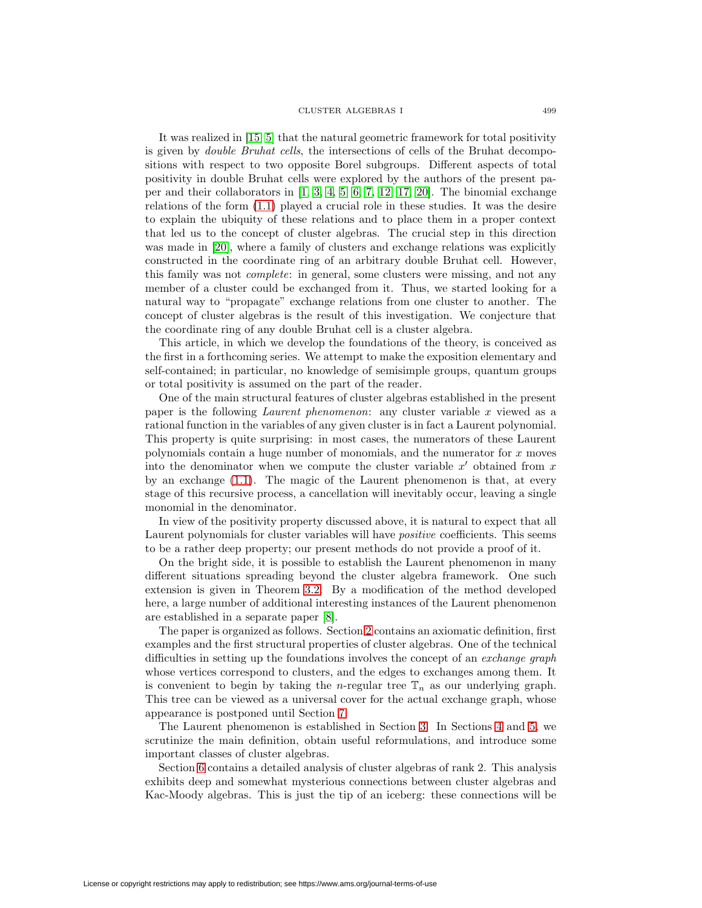#### CLUSTER ALGEBRAS I 499

It was realized in [\[15,](#page-32-6) [5\]](#page-31-1) that the natural geometric framework for total positivity is given by double Bruhat cells, the intersections of cells of the Bruhat decompositions with respect to two opposite Borel subgroups. Different aspects of total positivity in double Bruhat cells were explored by the authors of the present paper and their collaborators in [\[1,](#page-31-2) [3,](#page-31-3) [4,](#page-31-4) [5,](#page-31-1) [6,](#page-31-5) [7,](#page-31-6) [12,](#page-32-7) [17,](#page-32-8) [20\]](#page-32-9). The binomial exchange relations of the form [\(1.1\)](#page-0-0) played a crucial role in these studies. It was the desire to explain the ubiquity of these relations and to place them in a proper context that led us to the concept of cluster algebras. The crucial step in this direction was made in [\[20\]](#page-32-9), where a family of clusters and exchange relations was explicitly constructed in the coordinate ring of an arbitrary double Bruhat cell. However, this family was not complete: in general, some clusters were missing, and not any member of a cluster could be exchanged from it. Thus, we started looking for a natural way to "propagate" exchange relations from one cluster to another. The concept of cluster algebras is the result of this investigation. We conjecture that the coordinate ring of any double Bruhat cell is a cluster algebra.

This article, in which we develop the foundations of the theory, is conceived as the first in a forthcoming series. We attempt to make the exposition elementary and self-contained; in particular, no knowledge of semisimple groups, quantum groups or total positivity is assumed on the part of the reader.

One of the main structural features of cluster algebras established in the present paper is the following Laurent phenomenon: any cluster variable x viewed as a rational function in the variables of any given cluster is in fact a Laurent polynomial. This property is quite surprising: in most cases, the numerators of these Laurent polynomials contain a huge number of monomials, and the numerator for x moves into the denominator when we compute the cluster variable  $x'$  obtained from  $x$ by an exchange [\(1.1\)](#page-0-0). The magic of the Laurent phenomenon is that, at every stage of this recursive process, a cancellation will inevitably occur, leaving a single monomial in the denominator.

In view of the positivity property discussed above, it is natural to expect that all Laurent polynomials for cluster variables will have positive coefficients. This seems to be a rather deep property; our present methods do not provide a proof of it.

On the bright side, it is possible to establish the Laurent phenomenon in many different situations spreading beyond the cluster algebra framework. One such extension is given in Theorem [3.2.](#page-9-0) By a modification of the method developed here, a large number of additional interesting instances of the Laurent phenomenon are established in a separate paper [\[8\]](#page-31-7).

The paper is organized as follows. Section [2](#page-3-0) contains an axiomatic definition, first examples and the first structural properties of cluster algebras. One of the technical difficulties in setting up the foundations involves the concept of an exchange graph whose vertices correspond to clusters, and the edges to exchanges among them. It is convenient to begin by taking the *n*-regular tree  $\mathbb{T}_n$  as our underlying graph. This tree can be viewed as a universal cover for the actual exchange graph, whose appearance is postponed until Section [7.](#page-25-0)

The Laurent phenomenon is established in Section [3.](#page-8-0) In Sections [4](#page-12-0) and [5,](#page-16-0) we scrutinize the main definition, obtain useful reformulations, and introduce some important classes of cluster algebras.

Section [6](#page-19-0) contains a detailed analysis of cluster algebras of rank 2. This analysis exhibits deep and somewhat mysterious connections between cluster algebras and Kac-Moody algebras. This is just the tip of an iceberg: these connections will be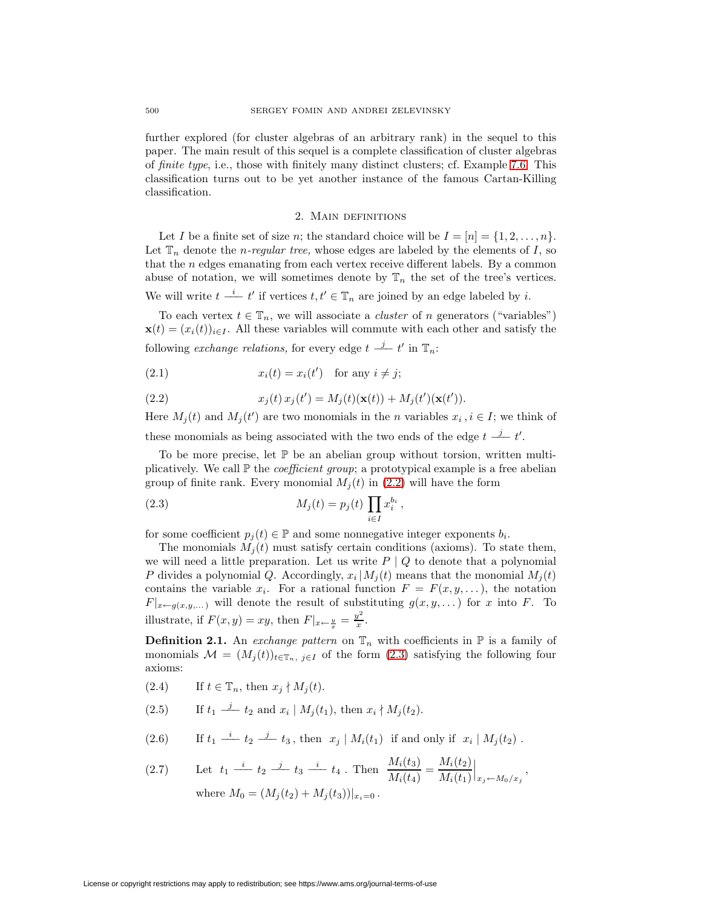further explored (for cluster algebras of an arbitrary rank) in the sequel to this paper. The main result of this sequel is a complete classification of cluster algebras of finite type, i.e., those with finitely many distinct clusters; cf. Example [7.6.](#page-25-1) This classification turns out to be yet another instance of the famous Cartan-Killing classification.

## 2. Main definitions

<span id="page-3-0"></span>Let I be a finite set of size n; the standard choice will be  $I = [n] = \{1, 2, \ldots, n\}.$ Let  $\mathbb{T}_n$  denote the *n-regular tree*, whose edges are labeled by the elements of I, so that the  $n$  edges emanating from each vertex receive different labels. By a common abuse of notation, we will sometimes denote by  $\mathbb{T}_n$  the set of the tree's vertices. We will write  $t \stackrel{i}{\longrightarrow} t'$  if vertices  $t, t' \in \mathbb{T}_n$  are joined by an edge labeled by i.

To each vertex  $t \in \mathbb{T}_n$ , we will associate a *cluster* of n generators ("variables")

 $\mathbf{x}(t)=(x_i(t))_{i\in I}$ . All these variables will commute with each other and satisfy the following *exchange relations*, for every edge  $t \stackrel{j}{\longrightarrow} t'$  in  $\mathbb{T}_n$ :

<span id="page-3-1"></span>(2.1) 
$$
x_i(t) = x_i(t') \text{ for any } i \neq j;
$$

(2.2) 
$$
x_j(t) x_j(t') = M_j(t) (\mathbf{x}(t)) + M_j(t') (\mathbf{x}(t')).
$$

Here  $M_j(t)$  and  $M_j(t')$  are two monomials in the n variables  $x_i$ ,  $i \in I$ ; we think of these monomials as being associated with the two ends of the edge  $t \frac{j}{-} t'$ .

To be more precise, let  $\mathbb P$  be an abelian group without torsion, written multiplicatively. We call  $\mathbb P$  the *coefficient group*; a prototypical example is a free abelian group of finite rank. Every monomial  $M_i(t)$  in [\(2.2\)](#page-3-1) will have the form

<span id="page-3-2"></span>(2.3) 
$$
M_j(t) = p_j(t) \prod_{i \in I} x_i^{b_i},
$$

for some coefficient  $p_i(t) \in \mathbb{P}$  and some nonnegative integer exponents  $b_i$ .

The monomials  $M_i(t)$  must satisfy certain conditions (axioms). To state them, we will need a little preparation. Let us write  $P | Q$  to denote that a polynomial P divides a polynomial Q. Accordingly,  $x_i | M_i(t)$  means that the monomial  $M_i(t)$ contains the variable  $x_i$ . For a rational function  $F = F(x, y, \ldots)$ , the notation  $F|_{x \leftarrow g(x,y,...)}$  will denote the result of substituting  $g(x, y,...)$  for x into F. To illustrate, if  $F(x, y) = xy$ , then  $F|_{x \leftarrow \frac{y}{x}} = \frac{y^2}{x}$ .

<span id="page-3-4"></span>**Definition 2.1.** An exchange pattern on  $\mathbb{T}_n$  with coefficients in  $\mathbb{P}$  is a family of monomials  $\mathcal{M} = (M_j(t))_{t \in \mathbb{T}_n, j \in I}$  of the form  $(2.3)$  satisfying the following four axioms:

- <span id="page-3-3"></span>(2.4) If  $t \in \mathbb{T}_n$ , then  $x_j \nmid M_j(t)$ .
- (2.5) If  $t_1 \stackrel{j}{\longrightarrow} t_2$  and  $x_i | M_j(t_1)$ , then  $x_i \nmid M_j(t_2)$ .
- (2.6) If  $t_1 \stackrel{i}{\longrightarrow} t_2 \stackrel{j}{\longrightarrow} t_3$ , then  $x_j | M_i(t_1)$  if and only if  $x_i | M_j(t_2)$ .  $M(t) = M(t)$

(2.7) Let 
$$
t_1 \stackrel{i}{\longrightarrow} t_2 \stackrel{j}{\longrightarrow} t_3 \stackrel{i}{\longrightarrow} t_4
$$
. Then  $\frac{M_i(t_3)}{M_i(t_4)} = \frac{M_i(t_2)}{M_i(t_1)}\Big|_{x_j \leftarrow M_0/x_j}$ ,  
where  $M_0 = (M_j(t_2) + M_j(t_3))|_{x_i=0}$ .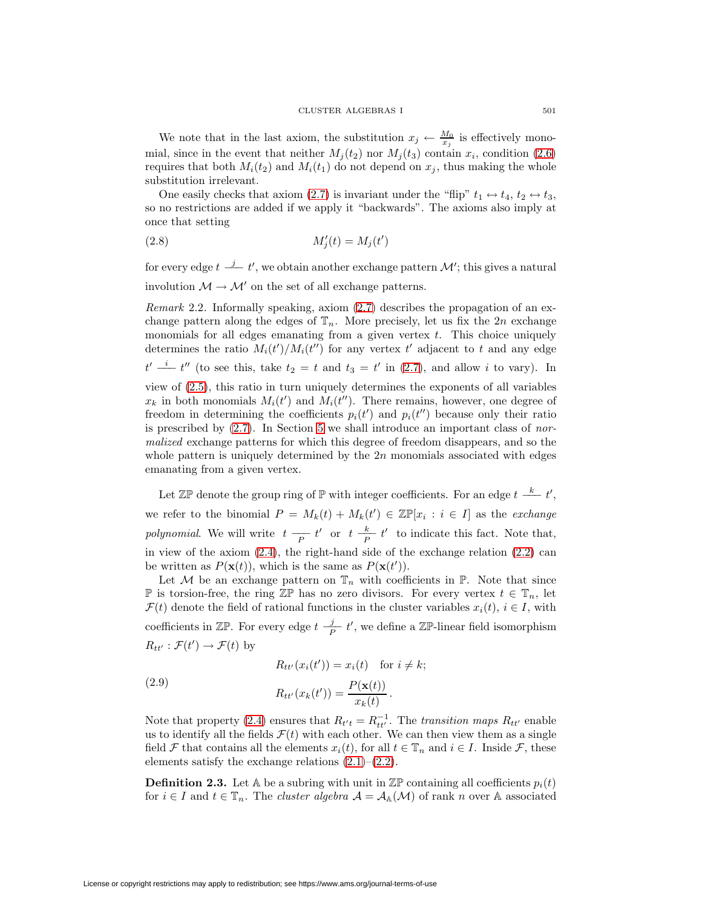We note that in the last axiom, the substitution  $x_j \leftarrow \frac{M_0}{x_j}$  is effectively monomial, since in the event that neither  $M_j(t_2)$  nor  $M_j(t_3)$  contain  $x_i$ , condition [\(2.6\)](#page-3-3) requires that both  $M_i(t_2)$  and  $M_i(t_1)$  do not depend on  $x_i$ , thus making the whole substitution irrelevant.

<span id="page-4-0"></span>One easily checks that axiom [\(2.7\)](#page-3-3) is invariant under the "flip"  $t_1 \leftrightarrow t_4$ ,  $t_2 \leftrightarrow t_3$ , so no restrictions are added if we apply it "backwards". The axioms also imply at once that setting

$$
(2.8)\qquad \qquad M_j'(t) = M_j(t')
$$

<span id="page-4-2"></span>for every edge  $t \stackrel{j}{\longrightarrow} t'$ , we obtain another exchange pattern  $\mathcal{M}'$ ; this gives a natural involution  $\mathcal{M} \rightarrow \mathcal{M}'$  on the set of all exchange patterns.

Remark 2.2. Informally speaking, axiom [\(2.7\)](#page-3-3) describes the propagation of an exchange pattern along the edges of  $\mathbb{T}_n$ . More precisely, let us fix the 2n exchange monomials for all edges emanating from a given vertex  $t$ . This choice uniquely determines the ratio  $M_i(t')/M_i(t'')$  for any vertex t' adjacent to t and any edge  $t' \stackrel{i}{\longrightarrow} t''$  (to see this, take  $t_2 = t$  and  $t_3 = t'$  in [\(2.7\)](#page-3-3), and allow i to vary). In view of [\(2.5\)](#page-3-3), this ratio in turn uniquely determines the exponents of all variables  $x_k$  in both monomials  $M_i(t')$  and  $M_i(t'')$ . There remains, however, one degree of freedom in determining the coefficients  $p_i(t')$  and  $p_i(t'')$  because only their ratio is prescribed by  $(2.7)$ . In Section [5](#page-16-0) we shall introduce an important class of normalized exchange patterns for which this degree of freedom disappears, and so the whole pattern is uniquely determined by the  $2n$  monomials associated with edges emanating from a given vertex.

Let  $\mathbb{Z}\mathbb{P}$  denote the group ring of  $\mathbb{P}$  with integer coefficients. For an edge  $t \stackrel{k}{\longrightarrow} t'$ , we refer to the binomial  $P = M_k(t) + M_k(t') \in \mathbb{Z} \mathbb{P}[x_i : i \in I]$  as the *exchange* polynomial. We will write  $t - P$  t' or  $t - \frac{k}{P} t'$  to indicate this fact. Note that, in view of the axiom  $(2.4)$ , the right-hand side of the exchange relation  $(2.2)$  can be written as  $P(\mathbf{x}(t))$ , which is the same as  $P(\mathbf{x}(t'))$ .

Let  $M$  be an exchange pattern on  $\mathbb{T}_n$  with coefficients in  $\mathbb{P}$ . Note that since **P** is torsion-free, the ring  $\mathbb{Z}$ **P** has no zero divisors. For every vertex  $t \in \mathbb{T}_n$ , let  $\mathcal{F}(t)$  denote the field of rational functions in the cluster variables  $x_i(t), i \in I$ , with coefficients in  $\mathbb{Z}\mathbb{P}$ . For every edge  $t \frac{j}{P} t'$ , we define a  $\mathbb{Z}\mathbb{P}$ -linear field isomorphism  $R_{tt'} : \mathcal{F}(t') \to \mathcal{F}(t)$  by

$$
R_{tt'}(x_i(t')) = x_i(t) \quad \text{for } i \neq k;
$$

<span id="page-4-1"></span>(2.9) 
$$
R_{tt'}(x_k(t')) = \frac{P(\mathbf{x}(t))}{x_k(t)}.
$$

Note that property [\(2.4\)](#page-3-3) ensures that  $R_{t't} = R_{tt'}^{-1}$ . The transition maps  $R_{tt'}$  enable us to identify all the fields  $\mathcal{F}(t)$  with each other. We can then view them as a single field F that contains all the elements  $x_i(t)$ , for all  $t \in \mathbb{T}_n$  and  $i \in I$ . Inside F, these elements satisfy the exchange relations  $(2.1)$ – $(2.2)$ .

**Definition 2.3.** Let A be a subring with unit in  $\mathbb{Z}P$  containing all coefficients  $p_i(t)$ for  $i \in I$  and  $t \in \mathbb{T}_n$ . The *cluster algebra*  $\mathcal{A} = \mathcal{A}_{\mathbb{A}}(\mathcal{M})$  of rank n over  $\mathbb{A}$  associated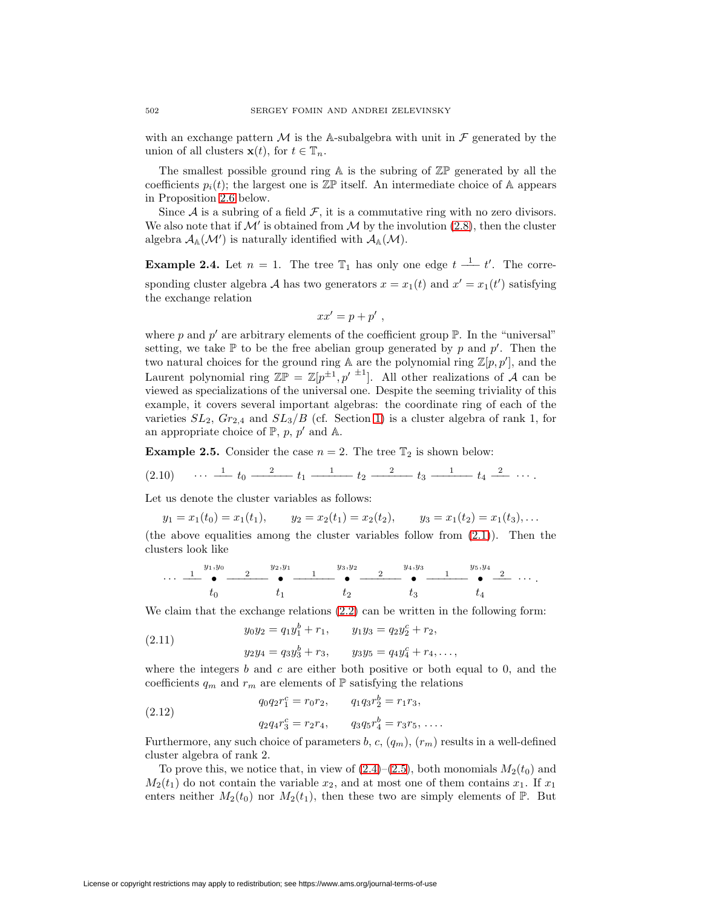with an exchange pattern  $\mathcal M$  is the A-subalgebra with unit in  $\mathcal F$  generated by the union of all clusters  $\mathbf{x}(t)$ , for  $t \in \mathbb{T}_n$ .

The smallest possible ground ring  $A$  is the subring of  $\mathbb{Z}P$  generated by all the coefficients  $p_i(t)$ ; the largest one is  $\mathbb{Z} \mathbb{P}$  itself. An intermediate choice of A appears in Proposition [2.6](#page-7-0) below.

Since  $A$  is a subring of a field  $F$ , it is a commutative ring with no zero divisors. We also note that if  $\mathcal{M}'$  is obtained from  $\mathcal M$  by the involution [\(2.8\)](#page-4-0), then the cluster algebra  $\mathcal{A}_{\mathbb{A}}(\mathcal{M}')$  is naturally identified with  $\mathcal{A}_{\mathbb{A}}(\mathcal{M})$ .

**Example 2.4.** Let  $n = 1$ . The tree  $\mathbb{T}_1$  has only one edge  $t \stackrel{1}{\longrightarrow} t'$ . The corresponding cluster algebra A has two generators  $x = x_1(t)$  and  $x' = x_1(t')$  satisfying the exchange relation

$$
xx'=p+p'
$$
,

where p and p' are arbitrary elements of the coefficient group  $\mathbb{P}$ . In the "universal" setting, we take  $\mathbb P$  to be the free abelian group generated by p and p'. Then the two natural choices for the ground ring  $A$  are the polynomial ring  $\mathbb{Z}[p, p']$ , and the Laurent polynomial ring  $\mathbb{Z}P = \mathbb{Z}[p^{\pm 1}, p'^{\pm 1}]$ . All other realizations of A can be viewed as specializations of the universal one. Despite the seeming triviality of this example, it covers several important algebras: the coordinate ring of each of the varieties  $SL_2$ ,  $Gr_{2,4}$  and  $SL_3/B$  (cf. Section [1\)](#page-0-1) is a cluster algebra of rank 1, for an appropriate choice of  $\mathbb{P}, p, p'$  and  $\mathbb{A}.$ 

<span id="page-5-3"></span><span id="page-5-2"></span>**Example 2.5.** Consider the case  $n = 2$ . The tree  $\mathbb{T}_2$  is shown below:

$$
(2.10) \quad \cdots \quad \underline{1} \quad t_0 \quad \underline{2} \quad t_1 \quad \underline{1} \quad t_2 \quad \underline{2} \quad t_3 \quad \underline{1} \quad t_4 \quad \underline{2} \quad \cdots.
$$

Let us denote the cluster variables as follows:

$$
y_1 = x_1(t_0) = x_1(t_1),
$$
  $y_2 = x_2(t_1) = x_2(t_2),$   $y_3 = x_1(t_2) = x_1(t_3),...$ 

(the above equalities among the cluster variables follow from  $(2.1)$ ). Then the clusters look like

$$
\cdots \frac{1}{t_0} \overset{y_1,y_0}{\bullet} \frac{2}{t_1} \overset{y_2,y_1}{\bullet} \frac{1}{t_2} \overset{y_3,y_2}{\bullet} \frac{2}{t_3} \overset{y_4,y_3}{\bullet} \frac{1}{t_4} \overset{y_5,y_4}{\bullet} \frac{2}{t_4} \cdots
$$

<span id="page-5-0"></span>We claim that the exchange relations  $(2.2)$  can be written in the following form:

(2.11) 
$$
y_0 y_2 = q_1 y_1^b + r_1, \qquad y_1 y_3 = q_2 y_2^c + r_2,
$$

(2.11) 
$$
y_2y_4 = q_3y_3^b + r_3, \qquad y_3y_5 = q_4y_4^c + r_4, \ldots,
$$

where the integers b and c are either both positive or both equal to 0, and the coefficients  $q_m$  and  $r_m$  are elements of  $\mathbb P$  satisfying the relations

<span id="page-5-1"></span>(2.12) 
$$
q_0 q_2 r_1^c = r_0 r_2, \qquad q_1 q_3 r_2^b = r_1 r_3,
$$

$$
q_2 q_4 r_3^c = r_2 r_4, \qquad q_3 q_5 r_4^b = r_3 r_5, \dots
$$

Furthermore, any such choice of parameters b, c,  $(q_m)$ ,  $(r_m)$  results in a well-defined cluster algebra of rank 2.

To prove this, we notice that, in view of  $(2.4)$ – $(2.5)$ , both monomials  $M_2(t_0)$  and  $M_2(t_1)$  do not contain the variable  $x_2$ , and at most one of them contains  $x_1$ . If  $x_1$ enters neither  $M_2(t_0)$  nor  $M_2(t_1)$ , then these two are simply elements of  $\mathbb{P}$ . But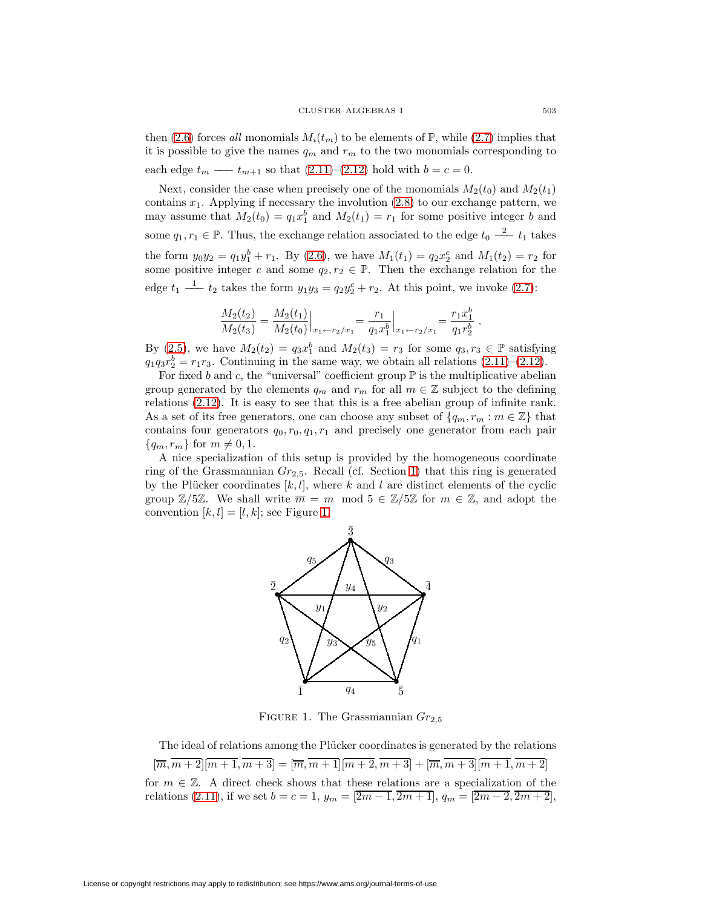then [\(2.6\)](#page-3-3) forces all monomials  $M_i(t_m)$  to be elements of  $\mathbb{P}$ , while [\(2.7\)](#page-3-3) implies that it is possible to give the names  $q_m$  and  $r_m$  to the two monomials corresponding to each edge  $t_m \longrightarrow t_{m+1}$  so that  $(2.11)–(2.12)$  $(2.11)–(2.12)$  $(2.11)–(2.12)$  hold with  $b = c = 0$ .

Next, consider the case when precisely one of the monomials  $M_2(t_0)$  and  $M_2(t_1)$ contains  $x_1$ . Applying if necessary the involution  $(2.8)$  to our exchange pattern, we may assume that  $M_2(t_0) = q_1 x_1^b$  and  $M_2(t_1) = r_1$  for some positive integer b and some  $q_1, r_1 \in \mathbb{P}$ . Thus, the exchange relation associated to the edge  $t_0 \stackrel{2}{\longrightarrow} t_1$  takes the form  $y_0y_2 = q_1y_1^b + r_1$ . By [\(2.6\)](#page-3-3), we have  $M_1(t_1) = q_2x_2^c$  and  $M_1(t_2) = r_2$  for some positive integer c and some  $q_2, r_2 \in \mathbb{P}$ . Then the exchange relation for the edge  $t_1 \stackrel{1}{\longrightarrow} t_2$  takes the form  $y_1y_3 = q_2y_2^c + r_2$ . At this point, we invoke [\(2.7\)](#page-3-3):

$$
\frac{M_2(t_2)}{M_2(t_3)} = \frac{M_2(t_1)}{M_2(t_0)}\Big|_{x_1 \leftarrow r_2/x_1} = \frac{r_1}{q_1 x_1^b}\Big|_{x_1 \leftarrow r_2/x_1} = \frac{r_1 x_1^b}{q_1 r_2^b}
$$

By [\(2.5\)](#page-3-3), we have  $M_2(t_2) = q_3 x_1^b$  and  $M_2(t_3) = r_3$  for some  $q_3, r_3 \in \mathbb{P}$  satisfying  $q_1q_3r_2^b = r_1r_3$ . Continuing in the same way, we obtain all relations  $(2.11)$ – $(2.12)$ .

For fixed b and c, the "universal" coefficient group  $\mathbb P$  is the multiplicative abelian group generated by the elements  $q_m$  and  $r_m$  for all  $m \in \mathbb{Z}$  subject to the defining relations [\(2.12\)](#page-5-1). It is easy to see that this is a free abelian group of infinite rank. As a set of its free generators, one can choose any subset of  $\{q_m, r_m : m \in \mathbb{Z}\}\)$  that contains four generators  $q_0, r_0, q_1, r_1$  and precisely one generator from each pair  ${q_m, r_m}$  for  $m \neq 0, 1$ .

A nice specialization of this setup is provided by the homogeneous coordinate ring of the Grassmannian  $Gr_{2,5}$ . Recall (cf. Section [1\)](#page-0-1) that this ring is generated by the Plücker coordinates  $[k, l]$ , where k and l are distinct elements of the cyclic group  $\mathbb{Z}/5\mathbb{Z}$ . We shall write  $\overline{m} = m \mod 5 \in \mathbb{Z}/5\mathbb{Z}$  for  $m \in \mathbb{Z}$ , and adopt the convention  $[k, l] = [l, k]$ ; see Figure [1.](#page-6-0)



<span id="page-6-0"></span>FIGURE 1. The Grassmannian  $Gr_{2.5}$ 

The ideal of relations among the Plücker coordinates is generated by the relations  $[\overline{m}, \overline{m+2}]\overline{m+1}, \overline{m+3}] = [\overline{m}, \overline{m+1}]\overline{m+2}, \overline{m+3}] + [\overline{m}, \overline{m+3}]\overline{m+1}, \overline{m+2}]$ for  $m \in \mathbb{Z}$ . A direct check shows that these relations are a specialization of the relations [\(2.11\)](#page-5-0), if we set  $b = c = 1$ ,  $y_m = \overline{[2m-1, 2m+1]}$ ,  $q_m = \overline{[2m-2, 2m+2]}$ ,

.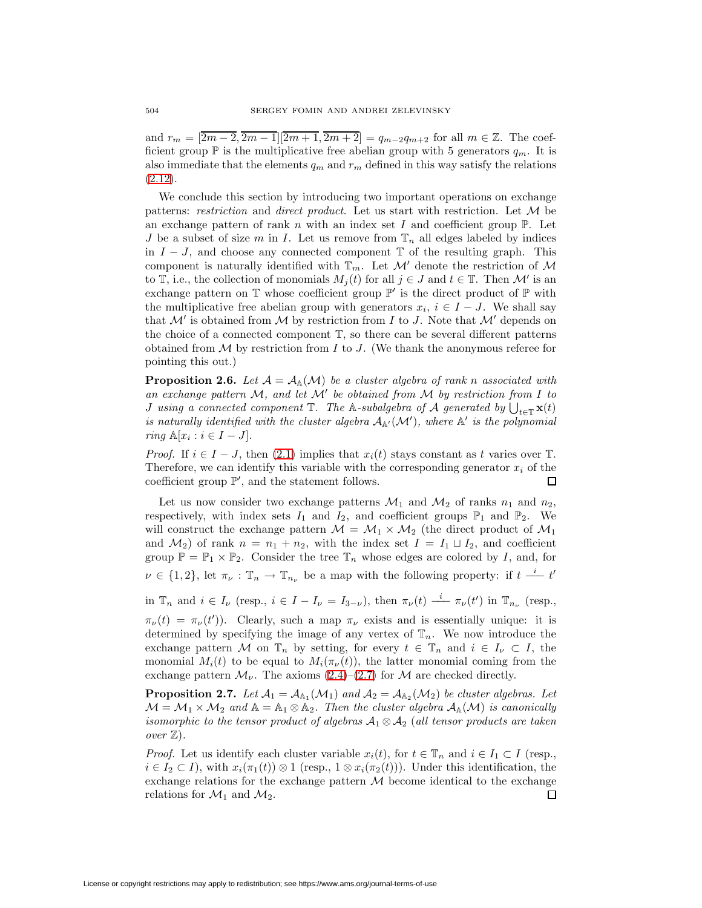and  $r_m = \lfloor 2m-2 \rfloor, \lfloor 2m-1 \rfloor, \lfloor 2m+1 \rfloor, \lfloor 2m+2 \rfloor = q_{m-2}q_{m+2}$  for all  $m \in \mathbb{Z}$ . The coefficient group  $\mathbb P$  is the multiplicative free abelian group with 5 generators  $q_m$ . It is also immediate that the elements  $q_m$  and  $r_m$  defined in this way satisfy the relations  $(2.12).$  $(2.12).$ 

We conclude this section by introducing two important operations on exchange patterns: restriction and direct product. Let us start with restriction. Let  $M$  be an exchange pattern of rank n with an index set I and coefficient group  $\mathbb{P}$ . Let J be a subset of size m in I. Let us remove from  $\mathbb{T}_n$  all edges labeled by indices in  $I - J$ , and choose any connected component  $\mathbb T$  of the resulting graph. This component is naturally identified with  $\mathbb{T}_m$ . Let M' denote the restriction of M to T, i.e., the collection of monomials  $M_i(t)$  for all  $j \in J$  and  $t \in \mathbb{T}$ . Then M' is an exchange pattern on  $\mathbb T$  whose coefficient group  $\mathbb P'$  is the direct product of  $\mathbb P$  with the multiplicative free abelian group with generators  $x_i$ ,  $i \in I - J$ . We shall say that  $\mathcal{M}'$  is obtained from  $\mathcal M$  by restriction from I to J. Note that  $\mathcal M'$  depends on the choice of a connected component T, so there can be several different patterns obtained from  $\mathcal M$  by restriction from I to J. (We thank the anonymous referee for pointing this out.)

<span id="page-7-0"></span>**Proposition 2.6.** Let  $\mathcal{A} = \mathcal{A}_{\mathbb{A}}(\mathcal{M})$  be a cluster algebra of rank n associated with an exchange pattern  $M$ , and let  $M'$  be obtained from  $M$  by restriction from  $I$  to *J* using a connected component  $\mathbb{T}$ . The A-subalgebra of A generated by  $\bigcup_{t\in\mathbb{T}} \mathbf{x}(t)$ is naturally identified with the cluster algebra  $A_{A'}(\mathcal{M}')$ , where  $A'$  is the polynomial ring  $\mathbb{A}[x_i : i \in I - J].$ 

*Proof.* If  $i \in I - J$ , then [\(2.1\)](#page-3-1) implies that  $x_i(t)$  stays constant as t varies over T. Therefore, we can identify this variable with the corresponding generator  $x_i$  of the coefficient group  $\mathbb{P}'$ , and the statement follows. Ω

Let us now consider two exchange patterns  $\mathcal{M}_1$  and  $\mathcal{M}_2$  of ranks  $n_1$  and  $n_2$ , respectively, with index sets  $I_1$  and  $I_2$ , and coefficient groups  $\mathbb{P}_1$  and  $\mathbb{P}_2$ . We will construct the exchange pattern  $\mathcal{M} = \mathcal{M}_1 \times \mathcal{M}_2$  (the direct product of  $\mathcal{M}_1$ and  $\mathcal{M}_2$  of rank  $n = n_1 + n_2$ , with the index set  $I = I_1 \sqcup I_2$ , and coefficient group  $\mathbb{P} = \mathbb{P}_1 \times \mathbb{P}_2$ . Consider the tree  $\mathbb{T}_n$  whose edges are colored by I, and, for  $\nu \in \{1,2\}$ , let  $\pi_{\nu} : \mathbb{T}_n \to \mathbb{T}_{n_{\nu}}$  be a map with the following property: if  $t \stackrel{i}{\longrightarrow} t'$ 

in  $\mathbb{T}_n$  and  $i \in I_\nu$  (resp.,  $i \in I - I_\nu = I_{3-\nu}$ ), then  $\pi_\nu(t) \stackrel{i}{\rightharpoonup} \pi_\nu(t')$  in  $\mathbb{T}_{n_\nu}$  (resp.,

 $\pi_{\nu}(t) = \pi_{\nu}(t')$ ). Clearly, such a map  $\pi_{\nu}$  exists and is essentially unique: it is determined by specifying the image of any vertex of  $\mathbb{T}_n$ . We now introduce the exchange pattern M on  $\mathbb{T}_n$  by setting, for every  $t \in \mathbb{T}_n$  and  $i \in I_\nu \subset I$ , the monomial  $M_i(t)$  to be equal to  $M_i(\pi_{\nu}(t))$ , the latter monomial coming from the exchange pattern  $\mathcal{M}_{\nu}$ . The axioms [\(2.4\)](#page-3-3)–[\(2.7\)](#page-3-3) for  $\mathcal{M}$  are checked directly.

**Proposition 2.7.** Let  $\mathcal{A}_1 = \mathcal{A}_{\mathbb{A}_1}(\mathcal{M}_1)$  and  $\mathcal{A}_2 = \mathcal{A}_{\mathbb{A}_2}(\mathcal{M}_2)$  be cluster algebras. Let  $M = M_1 \times M_2$  and  $\mathbb{A} = \mathbb{A}_1 \otimes \mathbb{A}_2$ . Then the cluster algebra  $\mathcal{A}_{\mathbb{A}}(\mathcal{M})$  is canonically isomorphic to the tensor product of algebras  $A_1 \otimes A_2$  (all tensor products are taken over Z).

*Proof.* Let us identify each cluster variable  $x_i(t)$ , for  $t \in \mathbb{T}_n$  and  $i \in I_1 \subset I$  (resp.,  $i \in I_2 \subset I$ , with  $x_i(\pi_1(t)) \otimes 1$  (resp.,  $1 \otimes x_i(\pi_2(t))$ ). Under this identification, the exchange relations for the exchange pattern  $M$  become identical to the exchange relations for  $\mathcal{M}_1$  and  $\mathcal{M}_2$ . ◻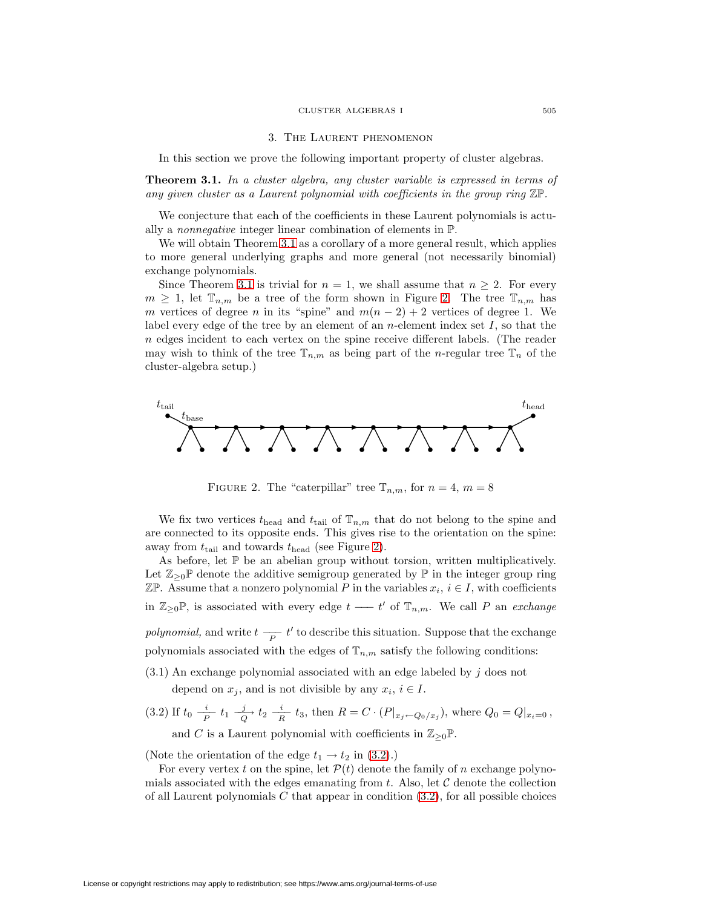#### CLUSTER ALGEBRAS I 505

### 3. The Laurent phenomenon

In this section we prove the following important property of cluster algebras.

<span id="page-8-1"></span><span id="page-8-0"></span>**Theorem 3.1.** In a cluster algebra, any cluster variable is expressed in terms of any given cluster as a Laurent polynomial with coefficients in the group ring  $\mathbb{Z}P$ .

We conjecture that each of the coefficients in these Laurent polynomials is actually a nonnegative integer linear combination of elements in P.

We will obtain Theorem [3.1](#page-8-1) as a corollary of a more general result, which applies to more general underlying graphs and more general (not necessarily binomial) exchange polynomials.

Since Theorem [3.1](#page-8-1) is trivial for  $n = 1$ , we shall assume that  $n \geq 2$ . For every  $m \geq 1$ , let  $\mathbb{T}_{n,m}$  be a tree of the form shown in Figure [2.](#page-8-2) The tree  $\mathbb{T}_{n,m}$  has m vertices of degree n in its "spine" and  $m(n-2)+2$  vertices of degree 1. We label every edge of the tree by an element of an *n*-element index set  $I$ , so that the n edges incident to each vertex on the spine receive different labels. (The reader may wish to think of the tree  $\mathbb{T}_{n,m}$  as being part of the *n*-regular tree  $\mathbb{T}_n$  of the cluster-algebra setup.)



<span id="page-8-2"></span>FIGURE 2. The "caterpillar" tree  $\mathbb{T}_{n,m}$ , for  $n=4, m=8$ 

We fix two vertices  $t_{\text{head}}$  and  $t_{\text{tail}}$  of  $\mathbb{T}_{n,m}$  that do not belong to the spine and are connected to its opposite ends. This gives rise to the orientation on the spine: away from  $t_{tail}$  and towards  $t_{head}$  (see Figure [2\)](#page-8-2).

As before, let  $\mathbb P$  be an abelian group without torsion, written multiplicatively. Let  $\mathbb{Z}_{\geq 0}$  denote the additive semigroup generated by  $\mathbb{P}$  in the integer group ring ZP. Assume that a nonzero polynomial P in the variables  $x_i, i \in I$ , with coefficients in  $\mathbb{Z}_{\geq 0}$ P, is associated with every edge  $t \longrightarrow t'$  of  $\mathbb{T}_{n,m}$ . We call P an exchange *polynomial*, and write  $t \frac{p}{p} t'$  to describe this situation. Suppose that the exchange polynomials associated with the edges of  $\mathbb{T}_{n,m}$  satisfy the following conditions:

<span id="page-8-3"></span> $(3.1)$  An exchange polynomial associated with an edge labeled by j does not

depend on  $x_j$ , and is not divisible by any  $x_i$ ,  $i \in I$ .

(3.2) If  $t_0 \frac{i}{P} t_1 \frac{j}{Q} t_2 \frac{i}{R} t_3$ , then  $R = C \cdot (P|_{x_j \leftarrow Q_0/x_j})$ , where  $Q_0 = Q|_{x_i=0}$ , and C is a Laurent polynomial with coefficients in  $\mathbb{Z}_{\geq 0} \mathbb{P}$ .

(Note the orientation of the edge  $t_1 \rightarrow t_2$  in [\(3.2\)](#page-8-3).)

For every vertex t on the spine, let  $\mathcal{P}(t)$  denote the family of n exchange polynomials associated with the edges emanating from t. Also, let  $C$  denote the collection of all Laurent polynomials  $C$  that appear in condition  $(3.2)$ , for all possible choices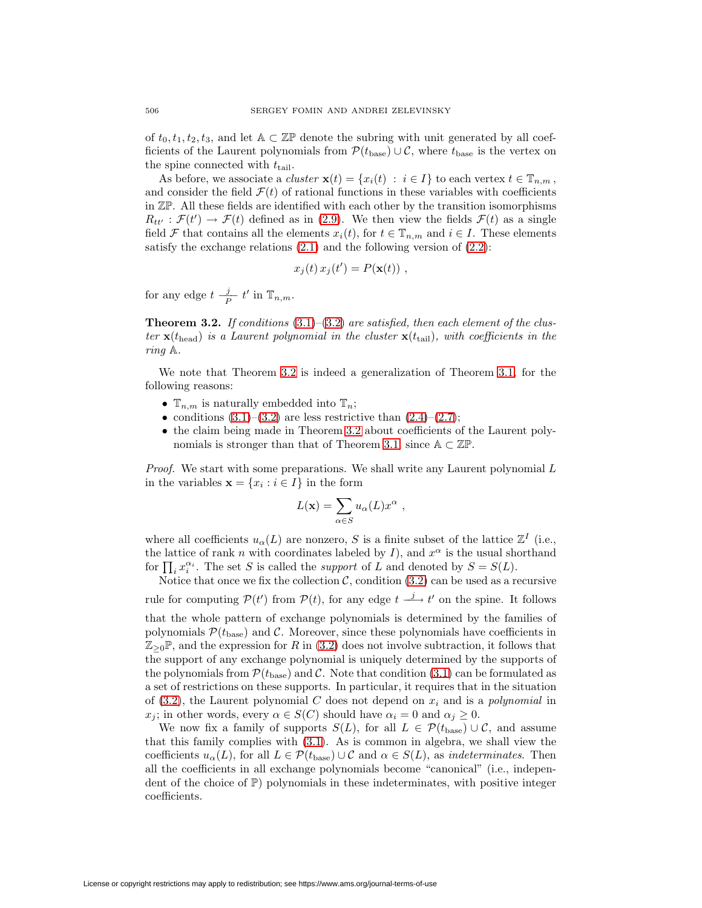of  $t_0, t_1, t_2, t_3$ , and let  $A \subset \mathbb{Z} \mathbb{P}$  denote the subring with unit generated by all coefficients of the Laurent polynomials from  $\mathcal{P}(t_{\text{base}}) \cup \mathcal{C}$ , where  $t_{\text{base}}$  is the vertex on the spine connected with  $t_{tail}$ .

As before, we associate a *cluster*  $\mathbf{x}(t) = \{x_i(t) : i \in I\}$  to each vertex  $t \in \mathbb{T}_{n,m}$ , and consider the field  $\mathcal{F}(t)$  of rational functions in these variables with coefficients in ZP. All these fields are identified with each other by the transition isomorphisms  $R_{tt'} : \mathcal{F}(t') \to \mathcal{F}(t)$  defined as in [\(2.9\)](#page-4-1). We then view the fields  $\mathcal{F}(t)$  as a single field F that contains all the elements  $x_i(t)$ , for  $t \in \mathbb{T}_{n,m}$  and  $i \in I$ . These elements satisfy the exchange relations  $(2.1)$  and the following version of  $(2.2)$ :

$$
x_j(t) x_j(t') = P(\mathbf{x}(t)) ,
$$

<span id="page-9-0"></span>for any edge  $t \frac{j}{P} t'$  in  $\mathbb{T}_{n,m}$ .

**Theorem 3.2.** If conditions  $(3.1)$ – $(3.2)$  are satisfied, then each element of the cluster  $\mathbf{x}(t_{\text{head}})$  is a Laurent polynomial in the cluster  $\mathbf{x}(t_{\text{tail}})$ , with coefficients in the ring A.

We note that Theorem [3.2](#page-9-0) is indeed a generalization of Theorem [3.1,](#page-8-1) for the following reasons:

- $\mathbb{T}_{n,m}$  is naturally embedded into  $\mathbb{T}_n$ ;
- conditions  $(3.1)$ – $(3.2)$  are less restrictive than  $(2.4)$ – $(2.7)$ ;
- the claim being made in Theorem [3.2](#page-9-0) about coefficients of the Laurent poly-nomials is stronger than that of Theorem [3.1,](#page-8-1) since  $A \subset \mathbb{Z}P$ .

*Proof.* We start with some preparations. We shall write any Laurent polynomial  $L$ in the variables  $\mathbf{x} = \{x_i : i \in I\}$  in the form

$$
L(\mathbf{x}) = \sum_{\alpha \in S} u_{\alpha}(L) x^{\alpha} ,
$$

where all coefficients  $u_{\alpha}(L)$  are nonzero, S is a finite subset of the lattice  $\mathbb{Z}^{I}$  (i.e., the lattice of rank n with coordinates labeled by I), and  $x^{\alpha}$  is the usual shorthand for  $\prod_i x_i^{\alpha_i}$ . The set S is called the *support* of L and denoted by  $S = S(L)$ .

Notice that once we fix the collection  $\mathcal{C}$ , condition  $(3.2)$  can be used as a recursive rule for computing  $\mathcal{P}(t')$  from  $\mathcal{P}(t)$ , for any edge  $t \stackrel{j}{\longrightarrow} t'$  on the spine. It follows that the whole pattern of exchange polynomials is determined by the families of polynomials  $\mathcal{P}(t_{\text{base}})$  and C. Moreover, since these polynomials have coefficients in  $\mathbb{Z}_{>0}\mathbb{P}$ , and the expression for R in [\(3.2\)](#page-8-3) does not involve subtraction, it follows that the support of any exchange polynomial is uniquely determined by the supports of the polynomials from  $P(t_{base})$  and C. Note that condition [\(3.1\)](#page-8-3) can be formulated as a set of restrictions on these supports. In particular, it requires that in the situation of [\(3.2\)](#page-8-3), the Laurent polynomial C does not depend on  $x_i$  and is a polynomial in  $x_i$ ; in other words, every  $\alpha \in S(C)$  should have  $\alpha_i = 0$  and  $\alpha_i \geq 0$ .

We now fix a family of supports  $S(L)$ , for all  $L \in \mathcal{P}(t_{base}) \cup \mathcal{C}$ , and assume that this family complies with [\(3.1\)](#page-8-3). As is common in algebra, we shall view the coefficients  $u_{\alpha}(L)$ , for all  $L \in \mathcal{P}(t_{base}) \cup \mathcal{C}$  and  $\alpha \in S(L)$ , as *indeterminates*. Then all the coefficients in all exchange polynomials become "canonical" (i.e., independent of the choice of  $\mathbb{P}$ ) polynomials in these indeterminates, with positive integer coefficients.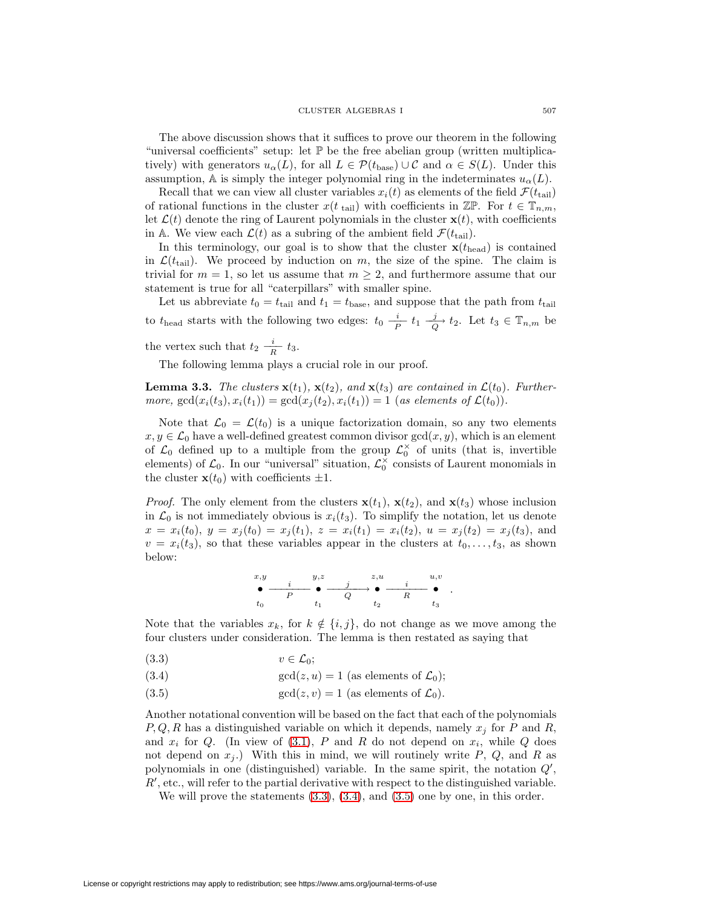The above discussion shows that it suffices to prove our theorem in the following "universal coefficients" setup: let P be the free abelian group (written multiplicatively) with generators  $u_{\alpha}(L)$ , for all  $L \in \mathcal{P}(t_{\text{base}}) \cup \mathcal{C}$  and  $\alpha \in S(L)$ . Under this assumption, A is simply the integer polynomial ring in the indeterminates  $u_{\alpha}(L)$ .

Recall that we can view all cluster variables  $x_i(t)$  as elements of the field  $\mathcal{F}(t_{tail})$ of rational functions in the cluster  $x(t_{tail})$  with coefficients in  $\mathbb{Z}\mathbb{P}$ . For  $t \in \mathbb{T}_{n,m}$ , let  $\mathcal{L}(t)$  denote the ring of Laurent polynomials in the cluster  $\mathbf{x}(t)$ , with coefficients in A. We view each  $\mathcal{L}(t)$  as a subring of the ambient field  $\mathcal{F}(t_{\text{tail}})$ .

In this terminology, our goal is to show that the cluster  $\mathbf{x}(t_{head})$  is contained in  $\mathcal{L}(t_{\text{tail}})$ . We proceed by induction on m, the size of the spine. The claim is trivial for  $m = 1$ , so let us assume that  $m \geq 2$ , and furthermore assume that our statement is true for all "caterpillars" with smaller spine.

Let us abbreviate  $t_0 = t_{tail}$  and  $t_1 = t_{base}$ , and suppose that the path from  $t_{tail}$ to  $t_{\text{head}}$  starts with the following two edges:  $t_0 \frac{i}{P} t_1 \frac{j}{Q} t_2$ . Let  $t_3 \in \mathbb{T}_{n,m}$  be the vertex such that  $t_2 \frac{i}{R} t_3$ .

The following lemma plays a crucial role in our proof.

<span id="page-10-1"></span>**Lemma 3.3.** The clusters  $\mathbf{x}(t_1)$ ,  $\mathbf{x}(t_2)$ , and  $\mathbf{x}(t_3)$  are contained in  $\mathcal{L}(t_0)$ . Furthermore,  $gcd(x_i(t_3), x_i(t_1)) = gcd(x_j(t_2), x_i(t_1)) = 1$  (as elements of  $\mathcal{L}(t_0)$ ).

Note that  $\mathcal{L}_0 = \mathcal{L}(t_0)$  is a unique factorization domain, so any two elements  $x, y \in \mathcal{L}_0$  have a well-defined greatest common divisor  $gcd(x, y)$ , which is an element of  $\mathcal{L}_0$  defined up to a multiple from the group  $\mathcal{L}_0^{\times}$  of units (that is, invertible elements) of  $\mathcal{L}_0$ . In our "universal" situation,  $\mathcal{L}_0^{\times}$  consists of Laurent monomials in the cluster  $\mathbf{x}(t_0)$  with coefficients  $\pm 1$ .

*Proof.* The only element from the clusters  $\mathbf{x}(t_1)$ ,  $\mathbf{x}(t_2)$ , and  $\mathbf{x}(t_3)$  whose inclusion in  $\mathcal{L}_0$  is not immediately obvious is  $x_i(t_3)$ . To simplify the notation, let us denote  $x = x_i(t_0), y = x_j(t_0) = x_j(t_1), z = x_i(t_1) = x_i(t_2), u = x_j(t_2) = x_j(t_3)$ , and  $v = x_i(t_3)$ , so that these variables appear in the clusters at  $t_0, \ldots, t_3$ , as shown below:

$$
\begin{array}{ccccccccc}\nx,y & & & y,z & & & z,u & & u,v \\
\bullet & & p & & \bullet & & j & \bullet & & i & \bullet \\
t_0 & & & & t_1 & & & t_2 & & R & & t_3\n\end{array}.
$$

Note that the variables  $x_k$ , for  $k \notin \{i, j\}$ , do not change as we move among the four clusters under consideration. The lemma is then restated as saying that

<span id="page-10-0"></span>
$$
(3.3) \t v \in \mathcal{L}_0;
$$

(3.4) 
$$
\gcd(z, u) = 1 \text{ (as elements of } \mathcal{L}_0);
$$

(3.5) 
$$
\gcd(z, v) = 1 \text{ (as elements of } \mathcal{L}_0).
$$

Another notational convention will be based on the fact that each of the polynomials  $P, Q, R$  has a distinguished variable on which it depends, namely  $x_j$  for P and R, and  $x_i$  for  $Q$ . (In view of [\(3.1\)](#page-8-3),  $P$  and  $R$  do not depend on  $x_i$ , while  $Q$  does not depend on  $x_j$ .) With this in mind, we will routinely write P, Q, and R as polynomials in one (distinguished) variable. In the same spirit, the notation  $Q'$ ,  $R'$ , etc., will refer to the partial derivative with respect to the distinguished variable.

We will prove the statements  $(3.3)$ ,  $(3.4)$ , and  $(3.5)$  one by one, in this order.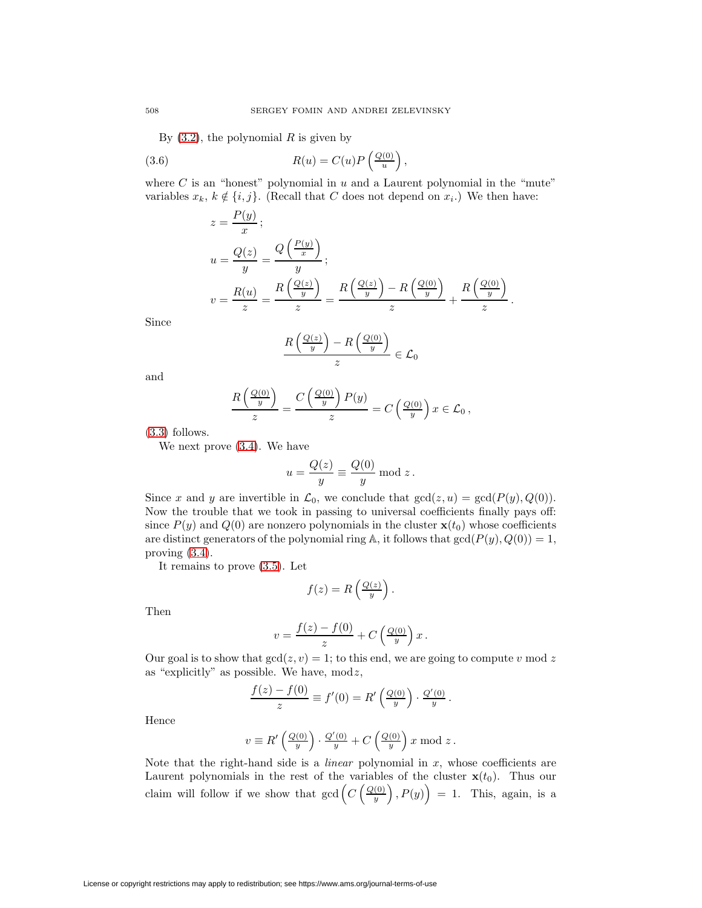By  $(3.2)$ , the polynomial R is given by

(3.6) 
$$
R(u) = C(u)P\left(\frac{Q(0)}{u}\right),
$$

where  $C$  is an "honest" polynomial in  $u$  and a Laurent polynomial in the "mute" variables  $x_k, k \notin \{i, j\}$ . (Recall that C does not depend on  $x_i$ .) We then have:

$$
z = \frac{P(y)}{x};
$$
  
\n
$$
u = \frac{Q(z)}{y} = \frac{Q\left(\frac{P(y)}{x}\right)}{y};
$$
  
\n
$$
v = \frac{R(u)}{z} = \frac{R\left(\frac{Q(z)}{y}\right)}{z} = \frac{R\left(\frac{Q(z)}{y}\right) - R\left(\frac{Q(0)}{y}\right)}{z} + \frac{R\left(\frac{Q(0)}{y}\right)}{z}.
$$

Since

$$
\frac{R\left(\frac{Q(z)}{y}\right) - R\left(\frac{Q(0)}{y}\right)}{z} \in \mathcal{L}_0
$$

and

$$
\frac{R\left(\frac{Q(0)}{y}\right)}{z} = \frac{C\left(\frac{Q(0)}{y}\right)P(y)}{z} = C\left(\frac{Q(0)}{y}\right)x \in \mathcal{L}_0,
$$

[\(3.3\)](#page-10-0) follows.

We next prove [\(3.4\)](#page-10-0). We have

$$
u = \frac{Q(z)}{y} \equiv \frac{Q(0)}{y} \bmod z.
$$

Since x and y are invertible in  $\mathcal{L}_0$ , we conclude that  $gcd(z, u) = gcd(P(y), Q(0)).$ Now the trouble that we took in passing to universal coefficients finally pays off: since  $P(y)$  and  $Q(0)$  are nonzero polynomials in the cluster  $\mathbf{x}(t_0)$  whose coefficients are distinct generators of the polynomial ring A, it follows that  $gcd(P(y), Q(0)) = 1$ , proving [\(3.4\)](#page-10-0).

It remains to prove [\(3.5\)](#page-10-0). Let

$$
f(z) = R\left(\frac{Q(z)}{y}\right).
$$

Then

$$
v = \frac{f(z) - f(0)}{z} + C\left(\frac{Q(0)}{y}\right)x.
$$

Our goal is to show that  $gcd(z, v) = 1$ ; to this end, we are going to compute v mod z as "explicitly" as possible. We have,  $mod z$ ,

$$
\frac{f(z) - f(0)}{z} \equiv f'(0) = R'\left(\frac{Q(0)}{y}\right) \cdot \frac{Q'(0)}{y}.
$$

Hence

$$
v \equiv R'\left(\frac{Q(0)}{y}\right) \cdot \frac{Q'(0)}{y} + C\left(\frac{Q(0)}{y}\right)x \bmod z.
$$

Note that the right-hand side is a *linear* polynomial in  $x$ , whose coefficients are Laurent polynomials in the rest of the variables of the cluster  $\mathbf{x}(t_0)$ . Thus our claim will follow if we show that  $gcd(C(\frac{Q(0)}{w}))$  $\overline{y}$  $(P(y)) = 1$ . This, again, is a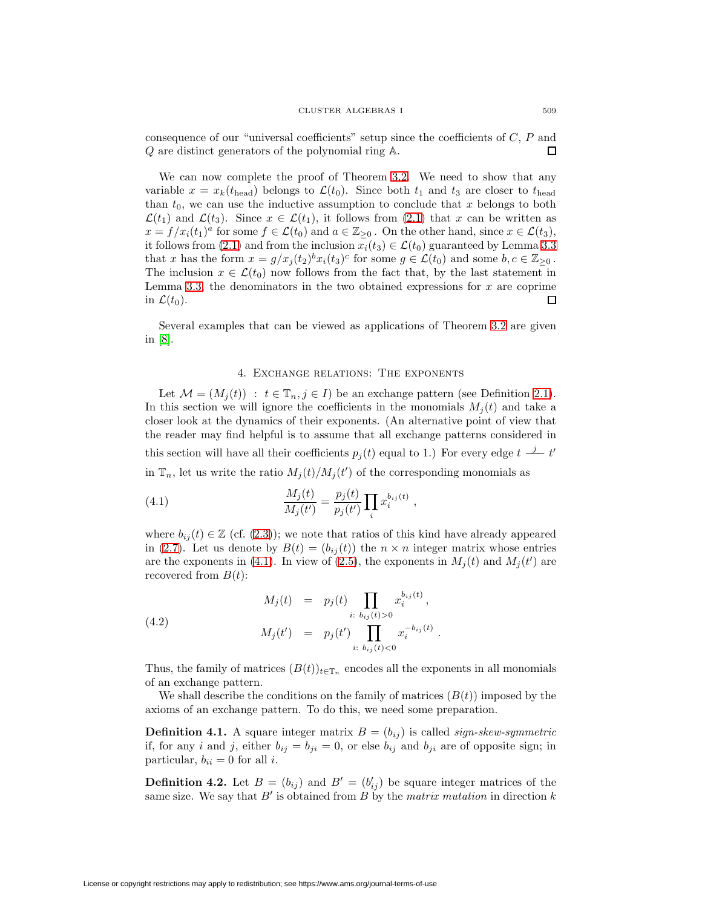consequence of our "universal coefficients" setup since the coefficients of  $C, P$  and Q are distinct generators of the polynomial ring A.  $\Box$ 

We can now complete the proof of Theorem [3.2.](#page-9-0) We need to show that any variable  $x = x_k(t_{head})$  belongs to  $\mathcal{L}(t_0)$ . Since both  $t_1$  and  $t_3$  are closer to  $t_{head}$ than  $t_0$ , we can use the inductive assumption to conclude that x belongs to both  $\mathcal{L}(t_1)$  and  $\mathcal{L}(t_3)$ . Since  $x \in \mathcal{L}(t_1)$ , it follows from [\(2.1\)](#page-3-1) that x can be written as  $x = f/x_i(t_1)^a$  for some  $f \in \mathcal{L}(t_0)$  and  $a \in \mathbb{Z}_{\geq 0}$ . On the other hand, since  $x \in \mathcal{L}(t_3)$ , it follows from [\(2.1\)](#page-3-1) and from the inclusion  $x_i(t_3) \in \mathcal{L}(t_0)$  guaranteed by Lemma [3.3](#page-10-1) that x has the form  $x = g/x_i(t_2)^b x_i(t_3)^c$  for some  $g \in \mathcal{L}(t_0)$  and some  $b, c \in \mathbb{Z}_{\geq 0}$ . The inclusion  $x \in \mathcal{L}(t_0)$  now follows from the fact that, by the last statement in Lemma [3.3,](#page-10-1) the denominators in the two obtained expressions for  $x$  are coprime in  $\mathcal{L}(t_0)$ . □

Several examples that can be viewed as applications of Theorem [3.2](#page-9-0) are given in [\[8\]](#page-31-7).

# 4. Exchange relations: The exponents

<span id="page-12-0"></span>Let  $\mathcal{M} = (M_i(t)) : t \in \mathbb{T}_n, j \in I$  be an exchange pattern (see Definition [2.1\)](#page-3-4). In this section we will ignore the coefficients in the monomials  $M_i(t)$  and take a closer look at the dynamics of their exponents. (An alternative point of view that the reader may find helpful is to assume that all exchange patterns considered in this section will have all their coefficients  $p_j(t)$  equal to 1.) For every edge  $t \frac{j}{-1} t'$ in  $\mathbb{T}_n$ , let us write the ratio  $M_j(t)/M_j(t')$  of the corresponding monomials as

<span id="page-12-1"></span>(4.1) 
$$
\frac{M_j(t)}{M_j(t')} = \frac{p_j(t)}{p_j(t')} \prod_i x_i^{b_{ij}(t)},
$$

where  $b_{ij}(t) \in \mathbb{Z}$  (cf. [\(2.3\)](#page-3-2)); we note that ratios of this kind have already appeared in [\(2.7\)](#page-3-3). Let us denote by  $B(t)=(b_{ij}(t))$  the  $n \times n$  integer matrix whose entries are the exponents in [\(4.1\)](#page-12-1). In view of [\(2.5\)](#page-3-3), the exponents in  $M_j(t)$  and  $M_j(t')$  are recovered from  $B(t)$ :

<span id="page-12-2"></span>(4.2) 
$$
M_j(t) = p_j(t) \prod_{i: b_{ij}(t) > 0} x_i^{b_{ij}(t)},
$$

$$
M_j(t') = p_j(t') \prod_{i: b_{ij}(t) < 0} x_i^{-b_{ij}(t)}.
$$

Thus, the family of matrices  $(B(t))_{t\in\mathbb{T}_n}$  encodes all the exponents in all monomials of an exchange pattern.

We shall describe the conditions on the family of matrices  $(B(t))$  imposed by the axioms of an exchange pattern. To do this, we need some preparation.

**Definition 4.1.** A square integer matrix  $B = (b_{ij})$  is called sign-skew-symmetric if, for any i and j, either  $b_{ij} = b_{ji} = 0$ , or else  $b_{ij}$  and  $b_{ji}$  are of opposite sign; in particular,  $b_{ii} = 0$  for all *i*.

**Definition 4.2.** Let  $B = (b_{ij})$  and  $B' = (b'_{ij})$  be square integer matrices of the same size. We say that  $B'$  is obtained from B by the matrix mutation in direction k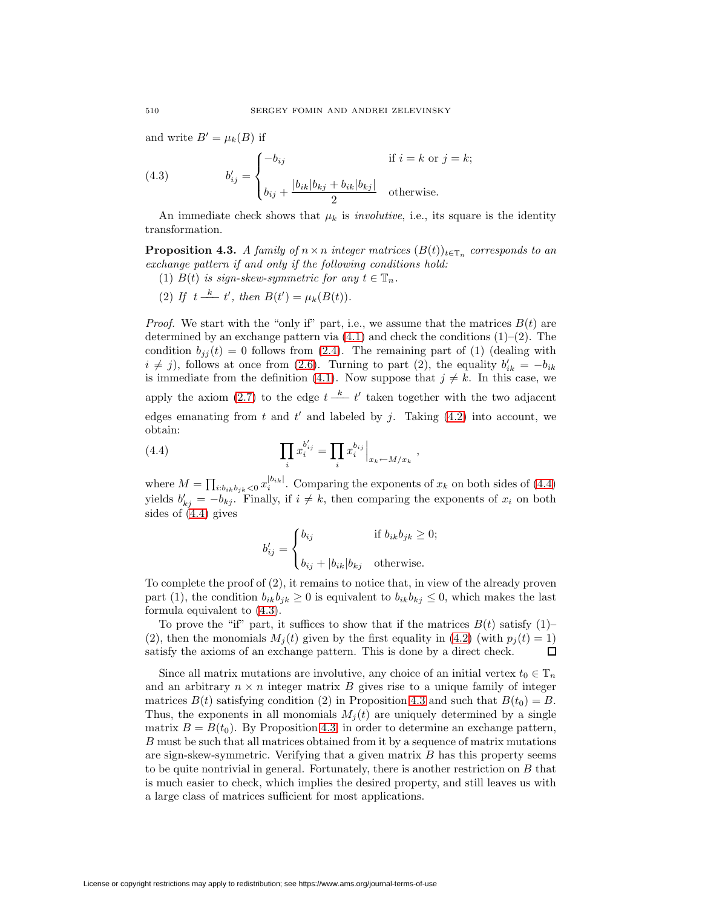and write  $B' = \mu_k(B)$  if

<span id="page-13-1"></span>(4.3) 
$$
b'_{ij} = \begin{cases} -b_{ij} & \text{if } i = k \text{ or } j = k; \\ b_{ij} + \frac{|b_{ik}|b_{kj} + b_{ik}|b_{kj}|}{2} & \text{otherwise.} \end{cases}
$$

<span id="page-13-2"></span>An immediate check shows that  $\mu_k$  is *involutive*, i.e., its square is the identity transformation.

**Proposition 4.3.** A family of  $n \times n$  integer matrices  $(B(t))_{t \in \mathbb{T}_n}$  corresponds to an exchange pattern if and only if the following conditions hold:

- (1)  $B(t)$  is sign-skew-symmetric for any  $t \in \mathbb{T}_n$ .
- (2) If  $t \stackrel{k}{\longrightarrow} t'$ , then  $B(t') = \mu_k(B(t)).$

*Proof.* We start with the "only if" part, i.e., we assume that the matrices  $B(t)$  are determined by an exchange pattern via  $(4.1)$  and check the conditions  $(1)-(2)$ . The condition  $b_{jj}(t) = 0$  follows from [\(2.4\)](#page-3-3). The remaining part of (1) (dealing with  $i \neq j$ , follows at once from [\(2.6\)](#page-3-3). Turning to part (2), the equality  $b'_{ik} = -b_{ik}$ is immediate from the definition [\(4.1\)](#page-12-1). Now suppose that  $j \neq k$ . In this case, we apply the axiom [\(2.7\)](#page-3-3) to the edge  $t - \frac{k}{\epsilon} t'$  taken together with the two adjacent edges emanating from t and t' and labeled by j. Taking  $(4.2)$  into account, we obtain:

<span id="page-13-0"></span>(4.4) 
$$
\prod_{i} x_i^{b'_{ij}} = \prod_{i} x_i^{b_{ij}} \Big|_{x_k \leftarrow M/x_k},
$$

where  $M = \prod_{i:b_{ik}b_{jk} < 0} x_i^{|b_{ik}|}$ . Comparing the exponents of  $x_k$  on both sides of [\(4.4\)](#page-13-0) yields  $b'_{kj} = -b_{kj}$ . Finally, if  $i \neq k$ , then comparing the exponents of  $x_i$  on both sides of [\(4.4\)](#page-13-0) gives

$$
b'_{ij} = \begin{cases} b_{ij} & \text{if } b_{ik}b_{jk} \ge 0; \\ b_{ij} + |b_{ik}|b_{kj} & \text{otherwise.} \end{cases}
$$

To complete the proof of (2), it remains to notice that, in view of the already proven part (1), the condition  $b_{ik}b_{jk} \geq 0$  is equivalent to  $b_{ik}b_{kj} \leq 0$ , which makes the last formula equivalent to [\(4.3\)](#page-13-1).

To prove the "if" part, it suffices to show that if the matrices  $B(t)$  satisfy  $(1)$ -(2), then the monomials  $M_i(t)$  given by the first equality in [\(4.2\)](#page-12-2) (with  $p_i(t) = 1$ ) satisfy the axioms of an exchange pattern. This is done by a direct check. Ω

Since all matrix mutations are involutive, any choice of an initial vertex  $t_0 \in \mathbb{T}_n$ and an arbitrary  $n \times n$  integer matrix B gives rise to a unique family of integer matrices  $B(t)$  satisfying condition (2) in Proposition [4.3](#page-13-2) and such that  $B(t_0) = B$ . Thus, the exponents in all monomials  $M_i(t)$  are uniquely determined by a single matrix  $B = B(t_0)$ . By Proposition [4.3,](#page-13-2) in order to determine an exchange pattern, B must be such that all matrices obtained from it by a sequence of matrix mutations are sign-skew-symmetric. Verifying that a given matrix  $B$  has this property seems to be quite nontrivial in general. Fortunately, there is another restriction on B that is much easier to check, which implies the desired property, and still leaves us with a large class of matrices sufficient for most applications.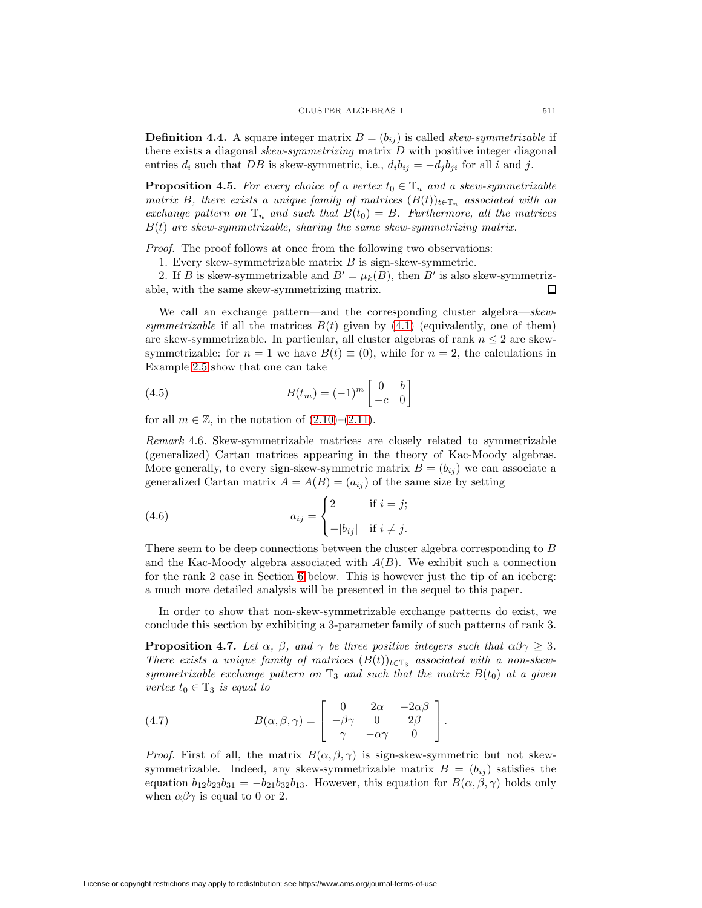**Definition 4.4.** A square integer matrix  $B = (b_{ij})$  is called *skew-symmetrizable* if there exists a diagonal skew-symmetrizing matrix D with positive integer diagonal entries  $d_i$  such that DB is skew-symmetric, i.e.,  $d_i b_{ij} = -d_j b_{ji}$  for all i and j.

<span id="page-14-1"></span>**Proposition 4.5.** For every choice of a vertex  $t_0 \in \mathbb{T}_n$  and a skew-symmetrizable matrix B, there exists a unique family of matrices  $(B(t))_{t\in\mathbb{T}_n}$  associated with an exchange pattern on  $\mathbb{T}_n$  and such that  $B(t_0) = B$ . Furthermore, all the matrices  $B(t)$  are skew-symmetrizable, sharing the same skew-symmetrizing matrix.

Proof. The proof follows at once from the following two observations:

1. Every skew-symmetrizable matrix  $B$  is sign-skew-symmetric.

2. If B is skew-symmetrizable and  $B' = \mu_k(B)$ , then B' is also skew-symmetrizable, with the same skew-symmetrizing matrix. 口

We call an exchange pattern—and the corresponding cluster algebra—skewsymmetrizable if all the matrices  $B(t)$  given by  $(4.1)$  (equivalently, one of them) are skew-symmetrizable. In particular, all cluster algebras of rank  $n \leq 2$  are skewsymmetrizable: for  $n = 1$  we have  $B(t) \equiv (0)$ , while for  $n = 2$ , the calculations in Example [2.5](#page-5-2) show that one can take

<span id="page-14-2"></span>(4.5) 
$$
B(t_m) = (-1)^m \begin{bmatrix} 0 & b \\ -c & 0 \end{bmatrix}
$$

for all  $m \in \mathbb{Z}$ , in the notation of  $(2.10)$ – $(2.11)$ .

Remark 4.6. Skew-symmetrizable matrices are closely related to symmetrizable (generalized) Cartan matrices appearing in the theory of Kac-Moody algebras. More generally, to every sign-skew-symmetric matrix  $B = (b_{ij})$  we can associate a generalized Cartan matrix  $A = A(B) = (a_{ij})$  of the same size by setting

<span id="page-14-3"></span>(4.6) 
$$
a_{ij} = \begin{cases} 2 & \text{if } i = j; \\ -|b_{ij}| & \text{if } i \neq j. \end{cases}
$$

There seem to be deep connections between the cluster algebra corresponding to B and the Kac-Moody algebra associated with  $A(B)$ . We exhibit such a connection for the rank 2 case in Section [6](#page-19-0) below. This is however just the tip of an iceberg: a much more detailed analysis will be presented in the sequel to this paper.

<span id="page-14-0"></span>In order to show that non-skew-symmetrizable exchange patterns do exist, we conclude this section by exhibiting a 3-parameter family of such patterns of rank 3.

**Proposition 4.7.** Let  $\alpha$ ,  $\beta$ , and  $\gamma$  be three positive integers such that  $\alpha\beta\gamma \geq 3$ . There exists a unique family of matrices  $(B(t))_{t\in\mathbb{T}_3}$  associated with a non-skewsymmetrizable exchange pattern on  $\mathbb{T}_3$  and such that the matrix  $B(t_0)$  at a given vertex  $t_0 \in \mathbb{T}_3$  is equal to

(4.7) 
$$
B(\alpha, \beta, \gamma) = \begin{bmatrix} 0 & 2\alpha & -2\alpha\beta \\ -\beta\gamma & 0 & 2\beta \\ \gamma & -\alpha\gamma & 0 \end{bmatrix}.
$$

*Proof.* First of all, the matrix  $B(\alpha, \beta, \gamma)$  is sign-skew-symmetric but not skewsymmetrizable. Indeed, any skew-symmetrizable matrix  $B = (b_{ij})$  satisfies the equation  $b_{12}b_{23}b_{31} = -b_{21}b_{32}b_{13}$ . However, this equation for  $B(\alpha, \beta, \gamma)$  holds only when  $\alpha\beta\gamma$  is equal to 0 or 2.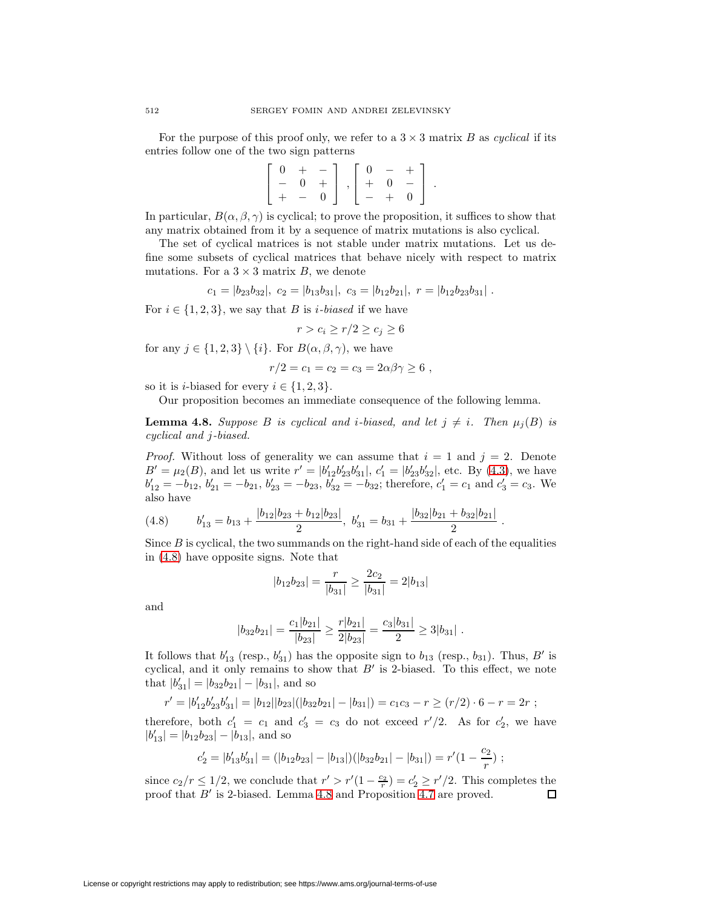For the purpose of this proof only, we refer to a  $3 \times 3$  matrix B as cyclical if its entries follow one of the two sign patterns

|  | $\left[\begin{array}{cccc} 0 & + & - \end{array}\right] \left[\begin{array}{cccc} 0 & - & + \end{array}\right]$ |  |  |  |
|--|-----------------------------------------------------------------------------------------------------------------|--|--|--|
|  | $- 0 +   ,   + 0 -  $                                                                                           |  |  |  |
|  | $+ - 0$ $- + 0$                                                                                                 |  |  |  |

In particular,  $B(\alpha, \beta, \gamma)$  is cyclical; to prove the proposition, it suffices to show that any matrix obtained from it by a sequence of matrix mutations is also cyclical.

The set of cyclical matrices is not stable under matrix mutations. Let us define some subsets of cyclical matrices that behave nicely with respect to matrix mutations. For a  $3 \times 3$  matrix B, we denote

$$
c_1 = |b_{23}b_{32}|, \ c_2 = |b_{13}b_{31}|, \ c_3 = |b_{12}b_{21}|, \ r = |b_{12}b_{23}b_{31}|.
$$

For  $i \in \{1, 2, 3\}$ , we say that B is *i-biased* if we have

$$
r > c_i \ge r/2 \ge c_j \ge 6
$$

for any  $j \in \{1, 2, 3\} \setminus \{i\}$ . For  $B(\alpha, \beta, \gamma)$ , we have

$$
r/2 = c_1 = c_2 = c_3 = 2\alpha\beta\gamma \ge 6,
$$

so it is *i*-biased for every  $i \in \{1, 2, 3\}.$ 

Our proposition becomes an immediate consequence of the following lemma.

<span id="page-15-1"></span>**Lemma 4.8.** Suppose B is cyclical and *i*-biased, and let  $j \neq i$ . Then  $\mu_j(B)$  is cyclical and j-biased.

*Proof.* Without loss of generality we can assume that  $i = 1$  and  $j = 2$ . Denote  $B' = \mu_2(B)$ , and let us write  $r' = |b'_{12}b'_{23}b'_{31}|$ ,  $c'_1 = |b'_{23}b'_{32}|$ , etc. By [\(4.3\)](#page-13-1), we have  $b'_{12} = -b_{12}, b'_{21} = -b_{21}, b'_{23} = -b_{23}, b'_{32} = -b_{32}$ ; therefore,  $c'_1 = c_1$  and  $c'_3 = c_3$ . We also have

<span id="page-15-0"></span>(4.8) 
$$
b'_{13} = b_{13} + \frac{|b_{12}|b_{23} + b_{12}|b_{23}|}{2}, \ b'_{31} = b_{31} + \frac{|b_{32}|b_{21} + b_{32}|b_{21}|}{2}.
$$

Since  $B$  is cyclical, the two summands on the right-hand side of each of the equalities in [\(4.8\)](#page-15-0) have opposite signs. Note that

$$
|b_{12}b_{23}|=\frac{r}{|b_{31}|}\geq \frac{2c_2}{|b_{31}|}=2|b_{13}|
$$

and

$$
|b_{32}b_{21}|=\frac{c_1|b_{21}|}{|b_{23}|}\geq \frac{r|b_{21}|}{2|b_{23}|}=\frac{c_3|b_{31}|}{2}\geq 3|b_{31}|.
$$

It follows that  $b'_{13}$  (resp.,  $b'_{31}$ ) has the opposite sign to  $b_{13}$  (resp.,  $b_{31}$ ). Thus,  $B'$  is cyclical, and it only remains to show that  $B'$  is 2-biased. To this effect, we note that  $|b'_{31}| = |b_{32}b_{21}| - |b_{31}|$ , and so

$$
r' = |b'_{12}b'_{23}b'_{31}| = |b_{12}||b_{23}|(|b_{32}b_{21}| - |b_{31}|) = c_1c_3 - r \ge (r/2) \cdot 6 - r = 2r ;
$$

therefore, both  $c_1' = c_1$  and  $c_3' = c_3$  do not exceed  $r'/2$ . As for  $c_2'$ , we have  $|b'_{13}| = |b_{12}b_{23}| - |b_{13}|$ , and so

$$
c_2'=|b_{13}'b_{31}'|=(|b_{12}b_{23}|-|b_{13}|)(|b_{32}b_{21}|-|b_{31}|)=r'(1-\frac{c_2}{r})\ ;
$$

since  $c_2/r \leq 1/2$ , we conclude that  $r' > r'(1 - \frac{c_2}{r}) = c_2' \geq r'/2$ . This completes the proof that  $B'$  is 2-biased. Lemma [4.8](#page-15-1) and Proposition [4.7](#page-14-0) are proved.  $\Box$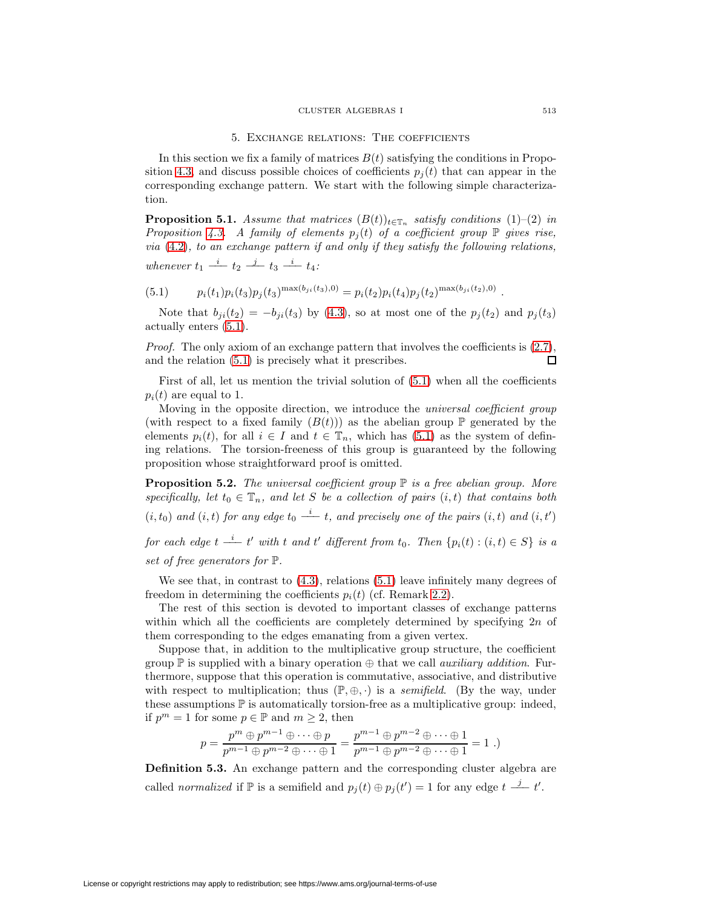#### CLUSTER ALGEBRAS I 513

## 5. Exchange relations: The coefficients

<span id="page-16-0"></span>In this section we fix a family of matrices  $B(t)$  satisfying the conditions in Propo-sition [4.3,](#page-13-2) and discuss possible choices of coefficients  $p_i(t)$  that can appear in the corresponding exchange pattern. We start with the following simple characterization.

**Proposition 5.1.** Assume that matrices  $(B(t))_{t\in\mathbb{T}_n}$  satisfy conditions (1)–(2) in Proposition [4.3.](#page-13-2) A family of elements  $p_j(t)$  of a coefficient group  $\mathbb P$  gives rise, via [\(4.2\)](#page-12-2), to an exchange pattern if and only if they satisfy the following relations, whenever  $t_1 \stackrel{i}{\longrightarrow} t_2 \stackrel{j}{\longrightarrow} t_3 \stackrel{i}{\longrightarrow} t_4$ :

<span id="page-16-1"></span>(5.1)  $p_i(t_1)p_i(t_3)p_j(t_3)^{\max(b_{ji}(t_3),0)} = p_i(t_2)p_i(t_4)p_j(t_2)^{\max(b_{ji}(t_2),0)}$ .

Note that  $b_{ji}(t_2) = -b_{ji}(t_3)$  by [\(4.3\)](#page-13-1), so at most one of the  $p_j(t_2)$  and  $p_j(t_3)$ actually enters [\(5.1\)](#page-16-1).

Proof. The only axiom of an exchange pattern that involves the coefficients is  $(2.7)$ , and the relation [\(5.1\)](#page-16-1) is precisely what it prescribes. 口

First of all, let us mention the trivial solution of  $(5.1)$  when all the coefficients  $p_i(t)$  are equal to 1.

Moving in the opposite direction, we introduce the *universal coefficient group* (with respect to a fixed family  $(B(t))$ ) as the abelian group  $\mathbb P$  generated by the elements  $p_i(t)$ , for all  $i \in I$  and  $t \in \mathbb{T}_n$ , which has  $(5.1)$  as the system of defining relations. The torsion-freeness of this group is guaranteed by the following proposition whose straightforward proof is omitted.

<span id="page-16-3"></span>**Proposition 5.2.** The universal coefficient group  $\mathbb P$  is a free abelian group. More specifically, let  $t_0 \in \mathbb{T}_n$ , and let S be a collection of pairs  $(i, t)$  that contains both  $(i, t_0)$  and  $(i, t)$  for any edge  $t_0 \stackrel{i}{\longrightarrow} t$ , and precisely one of the pairs  $(i, t)$  and  $(i, t')$ 

for each edge  $t \stackrel{i}{\longrightarrow} t'$  with t and t' different from  $t_0$ . Then  $\{p_i(t) : (i,t) \in S\}$  is a set of free generators for P.

We see that, in contrast to  $(4.3)$ , relations  $(5.1)$  leave infinitely many degrees of freedom in determining the coefficients  $p_i(t)$  (cf. Remark [2.2\)](#page-4-2).

The rest of this section is devoted to important classes of exchange patterns within which all the coefficients are completely determined by specifying  $2n$  of them corresponding to the edges emanating from a given vertex.

Suppose that, in addition to the multiplicative group structure, the coefficient group  $\mathbb P$  is supplied with a binary operation  $\oplus$  that we call *auxiliary addition*. Furthermore, suppose that this operation is commutative, associative, and distributive with respect to multiplication; thus  $(\mathbb{P}, \oplus, \cdot)$  is a *semifield.* (By the way, under these assumptions  $\mathbb P$  is automatically torsion-free as a multiplicative group: indeed, if  $p^m = 1$  for some  $p \in \mathbb{P}$  and  $m \geq 2$ , then

$$
p = \frac{p^m \oplus p^{m-1} \oplus \cdots \oplus p}{p^{m-1} \oplus p^{m-2} \oplus \cdots \oplus 1} = \frac{p^{m-1} \oplus p^{m-2} \oplus \cdots \oplus 1}{p^{m-1} \oplus p^{m-2} \oplus \cdots \oplus 1} = 1 .)
$$

<span id="page-16-4"></span><span id="page-16-2"></span>**Definition 5.3.** An exchange pattern and the corresponding cluster algebra are called *normalized* if  $\mathbb P$  is a semifield and  $p_j(t) \oplus p_j(t') = 1$  for any edge  $t \stackrel{j}{\longrightarrow} t'$ .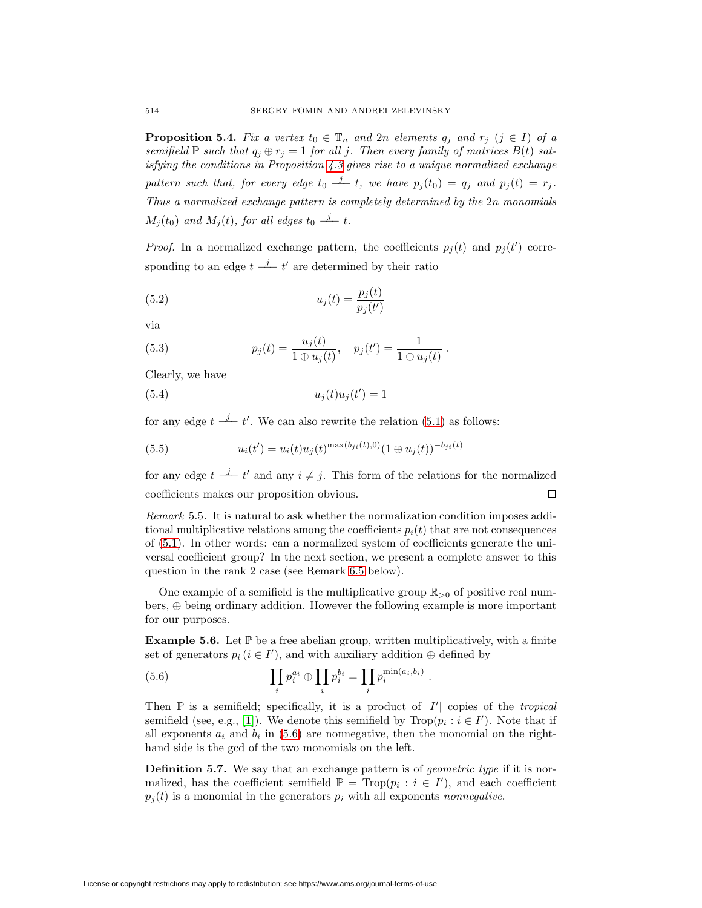**Proposition 5.4.** Fix a vertex  $t_0 \in \mathbb{T}_n$  and  $2n$  elements  $q_j$  and  $r_j$   $(j \in I)$  of a semifield  $\mathbb P$  such that  $q_j \oplus r_j = 1$  for all j. Then every family of matrices  $B(t)$  satisfying the conditions in Proposition [4.3](#page-13-2) gives rise to a unique normalized exchange pattern such that, for every edge  $t_0 \stackrel{j}{\rightharpoonup} t$ , we have  $p_j(t_0) = q_j$  and  $p_j(t) = r_j$ . Thus a normalized exchange pattern is completely determined by the 2n monomials  $M_j(t_0)$  and  $M_j(t)$ , for all edges  $t_0 \stackrel{j}{\rightharpoonup} t$ .

*Proof.* In a normalized exchange pattern, the coefficients  $p_j(t)$  and  $p_j(t')$  corresponding to an edge  $t \stackrel{j}{\longrightarrow} t'$  are determined by their ratio

$$
(5.2)\qquad \qquad u_j(t) = \frac{p_j(t)}{p_j(t')}
$$

<span id="page-17-1"></span>via

(5.3) 
$$
p_j(t) = \frac{u_j(t)}{1 \oplus u_j(t)}, \quad p_j(t') = \frac{1}{1 \oplus u_j(t)}.
$$

<span id="page-17-3"></span>Clearly, we have

$$
(5.4) \t\t u_j(t)u_j(t') = 1
$$

<span id="page-17-2"></span>for any edge  $t \stackrel{j}{\longrightarrow} t'$ . We can also rewrite the relation [\(5.1\)](#page-16-1) as follows:

(5.5) 
$$
u_i(t') = u_i(t)u_j(t)^{\max(b_{ji}(t),0)}(1 \oplus u_j(t))^{-b_{ji}(t)}
$$

for any edge  $t \stackrel{j}{\longrightarrow} t'$  and any  $i \neq j$ . This form of the relations for the normalized coefficients makes our proposition obvious.  $\Box$ 

Remark 5.5. It is natural to ask whether the normalization condition imposes additional multiplicative relations among the coefficients  $p_i(t)$  that are not consequences of [\(5.1\)](#page-16-1). In other words: can a normalized system of coefficients generate the universal coefficient group? In the next section, we present a complete answer to this question in the rank 2 case (see Remark [6.5](#page-24-0) below).

One example of a semifield is the multiplicative group  $\mathbb{R}_{>0}$  of positive real numbers, ⊕ being ordinary addition. However the following example is more important for our purposes.

<span id="page-17-4"></span><span id="page-17-0"></span>**Example 5.6.** Let  $\mathbb{P}$  be a free abelian group, written multiplicatively, with a finite set of generators  $p_i$  ( $i \in I'$ ), and with auxiliary addition  $\oplus$  defined by

(5.6) 
$$
\prod_i p_i^{a_i} \oplus \prod_i p_i^{b_i} = \prod_i p_i^{\min(a_i, b_i)}.
$$

Then  $\mathbb P$  is a semifield; specifically, it is a product of  $|I'|$  copies of the *tropical* semifield (see, e.g., [\[1\]](#page-31-2)). We denote this semifield by  $\text{Trop}(p_i : i \in I')$ . Note that if all exponents  $a_i$  and  $b_i$  in [\(5.6\)](#page-17-0) are nonnegative, then the monomial on the righthand side is the gcd of the two monomials on the left.

<span id="page-17-5"></span>**Definition 5.7.** We say that an exchange pattern is of *geometric type* if it is normalized, has the coefficient semifield  $\mathbb{P} = \text{Top}(p_i : i \in I')$ , and each coefficient  $p_i(t)$  is a monomial in the generators  $p_i$  with all exponents nonnegative.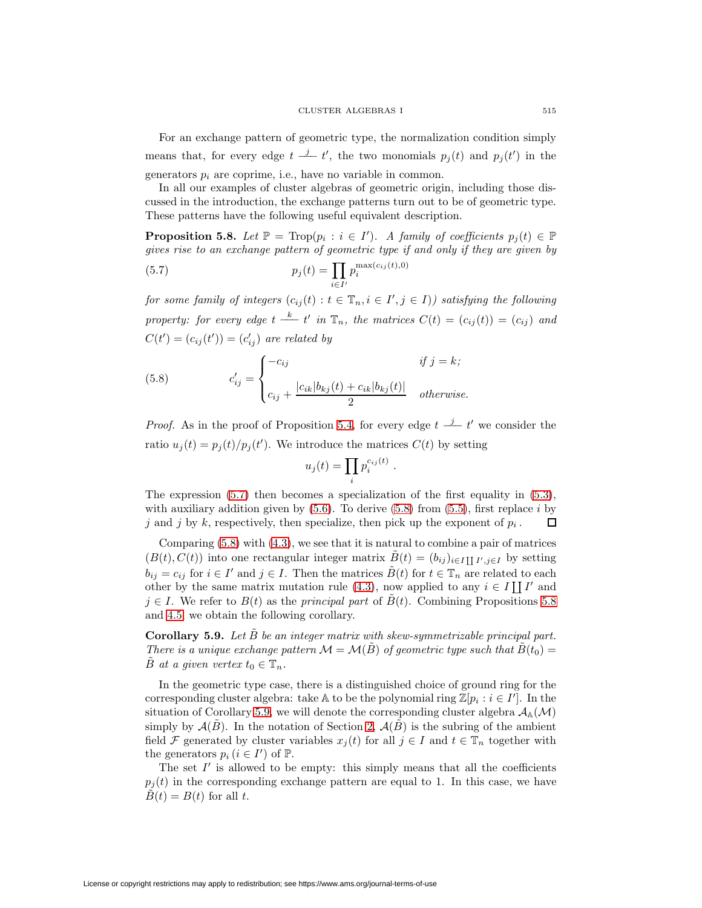For an exchange pattern of geometric type, the normalization condition simply means that, for every edge  $t \stackrel{j}{\longrightarrow} t'$ , the two monomials  $p_j(t)$  and  $p_j(t')$  in the generators  $p_i$  are coprime, i.e., have no variable in common.

In all our examples of cluster algebras of geometric origin, including those discussed in the introduction, the exchange patterns turn out to be of geometric type. These patterns have the following useful equivalent description.

<span id="page-18-2"></span><span id="page-18-0"></span>**Proposition 5.8.** Let  $\mathbb{P} = \text{Trop}(p_i : i \in I')$ . A family of coefficients  $p_j(t) \in \mathbb{P}$ gives rise to an exchange pattern of geometric type if and only if they are given by  $x(c_{ij}(t),0)$ 

(5.7) 
$$
p_j(t) = \prod_{i \in I'} p_i^{\max(c_{ij}(t))}
$$

for some family of integers  $(c_{ij}(t): t \in \mathbb{T}_n, i \in I', j \in I)$  satisfying the following property: for every edge  $t \stackrel{k}{\longrightarrow} t'$  in  $\mathbb{T}_n$ , the matrices  $C(t)=(c_{ij}(t))=(c_{ij})$  and  $C(t') = (c_{ij}(t')) = (c'_{ij})$  are related by

<span id="page-18-1"></span>(5.8) 
$$
c'_{ij} = \begin{cases} -c_{ij} & \text{if } j = k; \\ c_{ij} + \frac{|c_{ik}|b_{kj}(t) + c_{ik}|b_{kj}(t)|}{2} & otherwise. \end{cases}
$$

*Proof.* As in the proof of Proposition [5.4,](#page-16-2) for every edge  $t \frac{j}{r} t'$  we consider the ratio  $u_j(t) = p_j(t)/p_j(t')$ . We introduce the matrices  $C(t)$  by setting

$$
u_j(t) = \prod_i p_i^{c_{ij}(t)}.
$$

The expression [\(5.7\)](#page-18-0) then becomes a specialization of the first equality in [\(5.3\)](#page-17-1), with auxiliary addition given by  $(5.6)$ . To derive  $(5.8)$  from  $(5.5)$ , first replace i by j and j by k, respectively, then specialize, then pick up the exponent of  $p_i$ . ◻

Comparing [\(5.8\)](#page-18-1) with [\(4.3\)](#page-13-1), we see that it is natural to combine a pair of matrices  $(B(t), C(t))$  into one rectangular integer matrix  $B(t)=(b_{ij})_{i\in I}\prod_{i,j\in I}b_{ij}$  by setting  $b_{ij} = c_{ij}$  for  $i \in I'$  and  $j \in I$ . Then the matrices  $\tilde{B}(t)$  for  $t \in \mathbb{T}_n$  are related to each other by the same matrix mutation rule [\(4.3\)](#page-13-1), now applied to any  $i \in I \coprod I'$  and  $j \in I$ . We refer to  $B(t)$  as the *principal part* of  $B(t)$ . Combining Propositions [5.8](#page-18-2) and [4.5,](#page-14-1) we obtain the following corollary.

<span id="page-18-3"></span>**Corollary 5.9.** Let  $\tilde{B}$  be an integer matrix with skew-symmetrizable principal part. There is a unique exchange pattern  $\mathcal{M} = \mathcal{M}(\tilde{B})$  of geometric type such that  $\tilde{B}(t_0) =$ B at a given vertex  $t_0 \in \mathbb{T}_n$ .

In the geometric type case, there is a distinguished choice of ground ring for the corresponding cluster algebra: take A to be the polynomial ring  $\mathbb{Z}[p_i : i \in I']$ . In the situation of Corollary [5.9,](#page-18-3) we will denote the corresponding cluster algebra  $\mathcal{A}_{\mathbb{A}}(\mathcal{M})$ simply by  $\mathcal{A}(\tilde{B})$ . In the notation of Section [2,](#page-3-0)  $\mathcal{A}(\tilde{B})$  is the subring of the ambient field F generated by cluster variables  $x_i(t)$  for all  $j \in I$  and  $t \in \mathbb{T}_n$  together with the generators  $p_i$   $(i \in I')$  of  $\mathbb{P}$ .

The set  $I'$  is allowed to be empty: this simply means that all the coefficients  $p_j(t)$  in the corresponding exchange pattern are equal to 1. In this case, we have  $\tilde{B}(t) = B(t)$  for all t.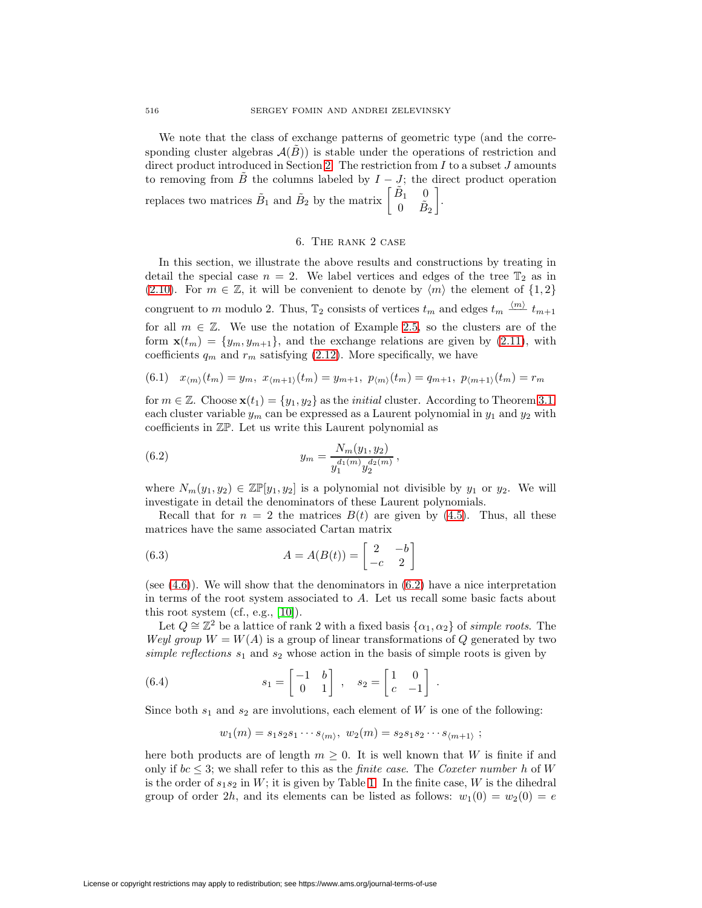We note that the class of exchange patterns of geometric type (and the corresponding cluster algebras  $A(B)$ ) is stable under the operations of restriction and direct product introduced in Section [2.](#page-3-0) The restriction from  $I$  to a subset  $J$  amounts to removing from B the columns labeled by  $I - J$ ; the direct product operation replaces two matrices  $\tilde{B}_1$  and  $\tilde{B}_2$  by the matrix  $\begin{bmatrix} \tilde{B}_1 & 0 \\ 0 & \tilde{B}_2 \end{bmatrix}$ 0  $\tilde{B}_2$ 1 .

## 6. The rank 2 case

<span id="page-19-0"></span>In this section, we illustrate the above results and constructions by treating in detail the special case  $n = 2$ . We label vertices and edges of the tree  $\mathbb{T}_2$  as in [\(2.10\)](#page-5-3). For  $m \in \mathbb{Z}$ , it will be convenient to denote by  $\langle m \rangle$  the element of  $\{1,2\}$ congruent to m modulo 2. Thus,  $\mathbb{T}_2$  consists of vertices  $t_m$  and edges  $t_m \stackrel{\langle m \rangle}{\longrightarrow} t_{m+1}$ for all  $m \in \mathbb{Z}$ . We use the notation of Example [2.5,](#page-5-2) so the clusters are of the form  $\mathbf{x}(t_m) = \{y_m, y_{m+1}\}\$ , and the exchange relations are given by [\(2.11\)](#page-5-0), with coefficients  $q_m$  and  $r_m$  satisfying [\(2.12\)](#page-5-1). More specifically, we have

<span id="page-19-2"></span>
$$
(6.1) \t x_{\langle m \rangle}(t_m) = y_m, \t x_{\langle m+1 \rangle}(t_m) = y_{m+1}, \t p_{\langle m \rangle}(t_m) = q_{m+1}, \t p_{\langle m+1 \rangle}(t_m) = r_m
$$

for  $m \in \mathbb{Z}$ . Choose  $\mathbf{x}(t_1) = \{y_1, y_2\}$  as the *initial* cluster. According to Theorem [3.1,](#page-8-1) each cluster variable  $y_m$  can be expressed as a Laurent polynomial in  $y_1$  and  $y_2$  with coefficients in ZP. Let us write this Laurent polynomial as

<span id="page-19-1"></span>(6.2) 
$$
y_m = \frac{N_m(y_1, y_2)}{y_1^{d_1(m)} y_2^{d_2(m)}},
$$

where  $N_m(y_1, y_2) \in \mathbb{Z}[\mathbb{F}[y_1, y_2]$  is a polynomial not divisible by  $y_1$  or  $y_2$ . We will investigate in detail the denominators of these Laurent polynomials.

Recall that for  $n = 2$  the matrices  $B(t)$  are given by [\(4.5\)](#page-14-2). Thus, all these matrices have the same associated Cartan matrix

(6.3) 
$$
A = A(B(t)) = \begin{bmatrix} 2 & -b \\ -c & 2 \end{bmatrix}
$$

(see  $(4.6)$ ). We will show that the denominators in  $(6.2)$  have a nice interpretation in terms of the root system associated to A. Let us recall some basic facts about this root system (cf., e.g., [\[10\]](#page-32-10)).

Let  $Q \cong \mathbb{Z}^2$  be a lattice of rank 2 with a fixed basis  $\{\alpha_1, \alpha_2\}$  of simple roots. The Weyl group  $W = W(A)$  is a group of linear transformations of Q generated by two simple reflections  $s_1$  and  $s_2$  whose action in the basis of simple roots is given by

<span id="page-19-3"></span>(6.4) 
$$
s_1 = \begin{bmatrix} -1 & b \\ 0 & 1 \end{bmatrix}, \quad s_2 = \begin{bmatrix} 1 & 0 \\ c & -1 \end{bmatrix}.
$$

Since both  $s_1$  and  $s_2$  are involutions, each element of W is one of the following:

 $w_1(m) = s_1 s_2 s_1 \cdots s_{m}$ ,  $w_2(m) = s_2 s_1 s_2 \cdots s_{m+1}$ ;

here both products are of length  $m \geq 0$ . It is well known that W is finite if and only if  $bc \leq 3$ ; we shall refer to this as the *finite case*. The *Coxeter number* h of W is the order of  $s_1s_2$  in W; it is given by Table [1.](#page-20-0) In the finite case, W is the dihedral group of order 2h, and its elements can be listed as follows:  $w_1(0) = w_2(0) = e$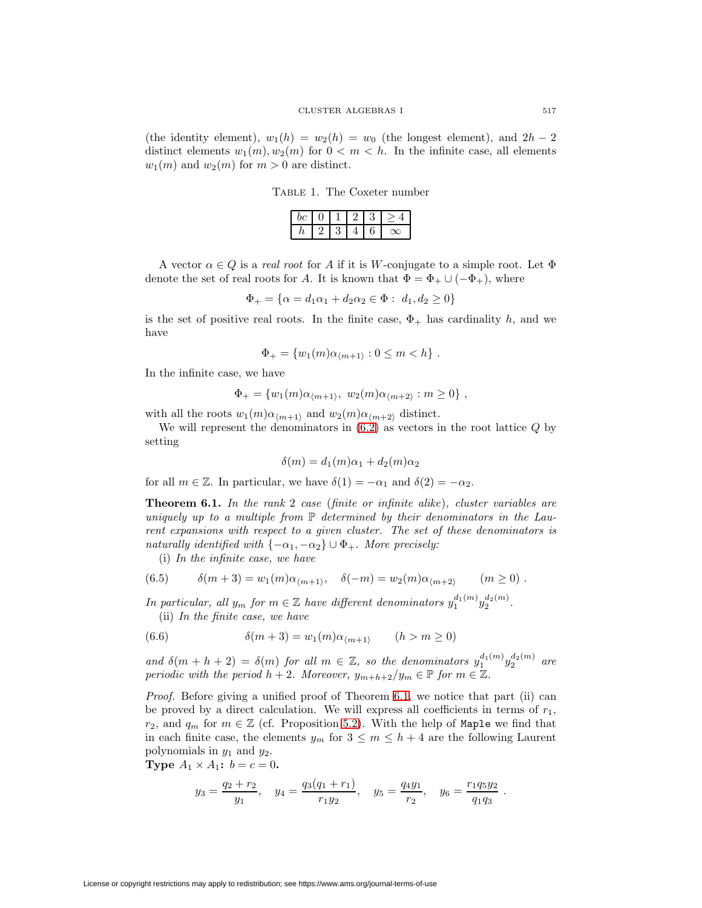(the identity element),  $w_1(h) = w_2(h) = w_0$  (the longest element), and  $2h - 2$ distinct elements  $w_1(m), w_2(m)$  for  $0 < m < h$ . In the infinite case, all elements  $w_1(m)$  and  $w_2(m)$  for  $m > 0$  are distinct.

<span id="page-20-0"></span>Table 1. The Coxeter number

| υ |  |  |  |
|---|--|--|--|

A vector  $\alpha \in Q$  is a *real root* for A if it is W-conjugate to a simple root. Let  $\Phi$ denote the set of real roots for A. It is known that  $\Phi = \Phi_+ \cup (-\Phi_+),$  where

$$
\Phi_+ = \{ \alpha = d_1 \alpha_1 + d_2 \alpha_2 \in \Phi : d_1, d_2 \ge 0 \}
$$

is the set of positive real roots. In the finite case,  $\Phi_{+}$  has cardinality h, and we have

$$
\Phi_{+} = \{w_1(m)\alpha_{\langle m+1\rangle} : 0 \leq m < h\} .
$$

In the infinite case, we have

$$
\Phi_+ = \{w_1(m)\alpha_{\langle m+1\rangle}, w_2(m)\alpha_{\langle m+2\rangle} : m \geq 0\},\,
$$

with all the roots  $w_1(m)\alpha_{m+1}$  and  $w_2(m)\alpha_{m+2}$  distinct.

We will represent the denominators in  $(6.2)$  as vectors in the root lattice  $Q$  by setting

$$
\delta(m) = d_1(m)\alpha_1 + d_2(m)\alpha_2
$$

<span id="page-20-1"></span>for all  $m \in \mathbb{Z}$ . In particular, we have  $\delta(1) = -\alpha_1$  and  $\delta(2) = -\alpha_2$ .

**Theorem 6.1.** In the rank 2 case (finite or infinite alike), cluster variables are uniquely up to a multiple from  $\mathbb P$  determined by their denominators in the Laurent expansions with respect to a given cluster. The set of these denominators is naturally identified with  $\{-\alpha_1, -\alpha_2\} \cup \Phi_+$ . More precisely:

(i) In the infinite case, we have

<span id="page-20-3"></span>(6.5) 
$$
\delta(m+3) = w_1(m)\alpha_{\langle m+1\rangle}, \quad \delta(-m) = w_2(m)\alpha_{\langle m+2\rangle} \qquad (m \ge 0).
$$

<span id="page-20-2"></span>In particular, all  $y_m$  for  $m \in \mathbb{Z}$  have different denominators  $y_1^{d_1(m)}y_2^{d_2(m)}$ .

(ii) In the finite case, we have

(6.6) 
$$
\delta(m+3) = w_1(m)\alpha_{\langle m+1 \rangle} \qquad (h > m \ge 0)
$$

and  $\delta(m+h+2) = \delta(m)$  for all  $m \in \mathbb{Z}$ , so the denominators  $y_1^{d_1(m)} y_2^{d_2(m)}$  are periodic with the period  $h + 2$ . Moreover,  $y_{m+h+2}/y_m \in \mathbb{P}$  for  $m \in \mathbb{Z}$ .

Proof. Before giving a unified proof of Theorem [6.1,](#page-20-1) we notice that part (ii) can be proved by a direct calculation. We will express all coefficients in terms of  $r_1$ ,  $r_2$ , and  $q_m$  for  $m \in \mathbb{Z}$  (cf. Proposition [5.2\)](#page-16-3). With the help of Maple we find that in each finite case, the elements  $y_m$  for  $3 \leq m \leq h+4$  are the following Laurent polynomials in  $y_1$  and  $y_2$ .

**Type**  $A_1 \times A_1$ :  $b = c = 0$ .

$$
y_3 = \frac{q_2 + r_2}{y_1}
$$
,  $y_4 = \frac{q_3(q_1 + r_1)}{r_1 y_2}$ ,  $y_5 = \frac{q_4 y_1}{r_2}$ ,  $y_6 = \frac{r_1 q_5 y_2}{q_1 q_3}$ .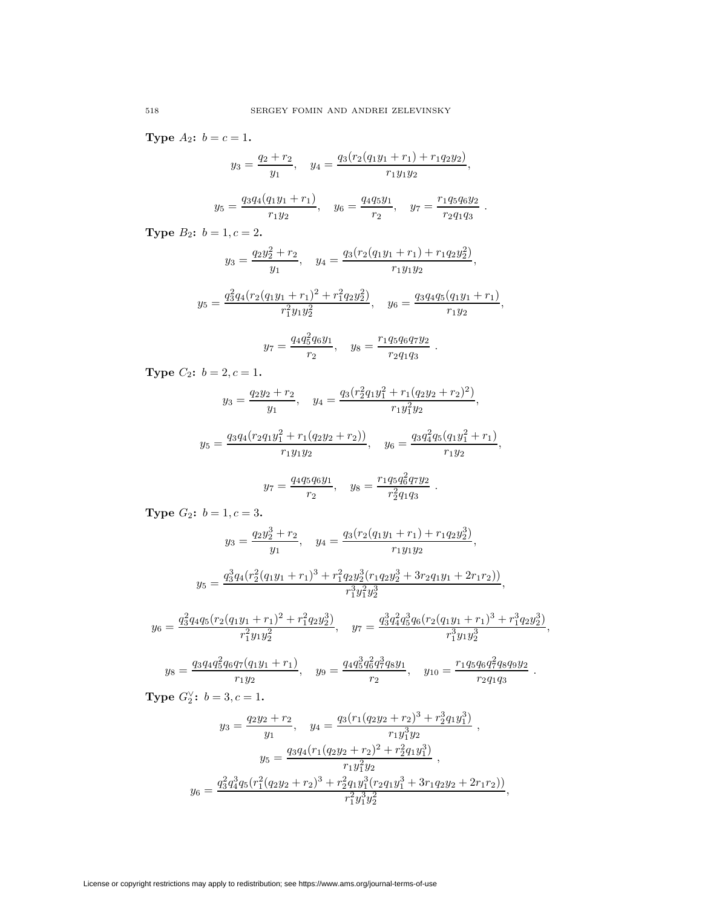**Type**  $A_2$ **:**  $b = c = 1$ **.** 

$$
y_3 = \frac{q_2 + r_2}{y_1}, \quad y_4 = \frac{q_3(r_2(q_1y_1 + r_1) + r_1q_2y_2)}{r_1y_1y_2},
$$

$$
y_5 = \frac{q_3 q_4 (q_1 y_1 + r_1)}{r_1 y_2}
$$
,  $y_6 = \frac{q_4 q_5 y_1}{r_2}$ ,  $y_7 = \frac{r_1 q_5 q_6 y_2}{r_2 q_1 q_3}$ .

**Type**  $B_2$ :  $b = 1, c = 2$ .

$$
y_3 = \frac{q_2y_2^2 + r_2}{y_1}
$$
,  $y_4 = \frac{q_3(r_2(q_1y_1 + r_1) + r_1q_2y_2^2)}{r_1y_1y_2}$ ,

$$
y_5 = \frac{q_3^2 q_4 (r_2 (q_1 y_1 + r_1)^2 + r_1^2 q_2 y_2^2)}{r_1^2 y_1 y_2^2}, \quad y_6 = \frac{q_3 q_4 q_5 (q_1 y_1 + r_1)}{r_1 y_2},
$$

$$
y_7 = \frac{q_4 q_5^2 q_6 y_1}{r_2}, \quad y_8 = \frac{r_1 q_5 q_6 q_7 y_2}{r_2 q_1 q_3}.
$$

**Type**  $C_2$ **:**  $b = 2, c = 1$ **.** 

$$
y_3 = \frac{q_2y_2 + r_2}{y_1}, \quad y_4 = \frac{q_3(r_2^2q_1y_1^2 + r_1(q_2y_2 + r_2)^2)}{r_1y_1^2y_2},
$$

$$
y_5 = \frac{q_3 q_4 (r_2 q_1 y_1^2 + r_1 (q_2 y_2 + r_2))}{r_1 y_1 y_2}, \quad y_6 = \frac{q_3 q_4^2 q_5 (q_1 y_1^2 + r_1)}{r_1 y_2},
$$

$$
y_7 = \frac{q_4 q_5 q_6 y_1}{r_2}
$$
,  $y_8 = \frac{r_1 q_5 q_6^2 q_7 y_2}{r_2^2 q_1 q_3}$ .

**Type**  $G_2$ :  $b = 1, c = 3$ .

$$
y_3 = \frac{q_2 y_2^3 + r_2}{y_1}, \quad y_4 = \frac{q_3 (r_2 (q_1 y_1 + r_1) + r_1 q_2 y_2^3)}{r_1 y_1 y_2},
$$

$$
y_5 = \frac{q_3^3 q_4 (r_2^2 (q_1 y_1 + r_1)^3 + r_1^2 q_2 y_2^3 (r_1 q_2 y_2^3 + 3r_2 q_1 y_1 + 2r_1 r_2))}{r_1^3 y_1^2 y_2^3},
$$

$$
y_6 = \frac{q_3^2 q_4 q_5 (r_2 (q_1 y_1 + r_1)^2 + r_1^2 q_2 y_2^3)}{r_1^2 y_1 y_2^2}, \quad y_7 = \frac{q_3^3 q_4^2 q_5^3 q_6 (r_2 (q_1 y_1 + r_1)^3 + r_1^3 q_2 y_2^3)}{r_1^3 y_1 y_2^3},
$$

$$
y_8 = \frac{q_3 q_4 q_5^2 q_6 q_7 (q_1 y_1 + r_1)}{r_1 y_2}, \quad y_9 = \frac{q_4 q_5^3 q_6^2 q_7^3 q_8 y_1}{r_2}, \quad y_{10} = \frac{r_1 q_5 q_6 q_7^2 q_8 q_9 y_2}{r_2 q_1 q_3}.
$$

**Type**  $G_2^{\vee}$ :  $b = 3, c = 1$ .

$$
y_3 = \frac{q_2y_2 + r_2}{y_1}, \quad y_4 = \frac{q_3(r_1(q_2y_2 + r_2)^3 + r_2^3q_1y_1^3)}{r_1y_1^3y_2},
$$

$$
y_5 = \frac{q_3q_4(r_1(q_2y_2 + r_2)^2 + r_2^2q_1y_1^3)}{r_1y_1^2y_2},
$$

$$
y_6 = \frac{q_3^2q_4^3q_5(r_1^2(q_2y_2 + r_2)^3 + r_2^2q_1y_1^3(r_2q_1y_1^3 + 3r_1q_2y_2 + 2r_1r_2))}{r_1^2y_1^3y_2^2},
$$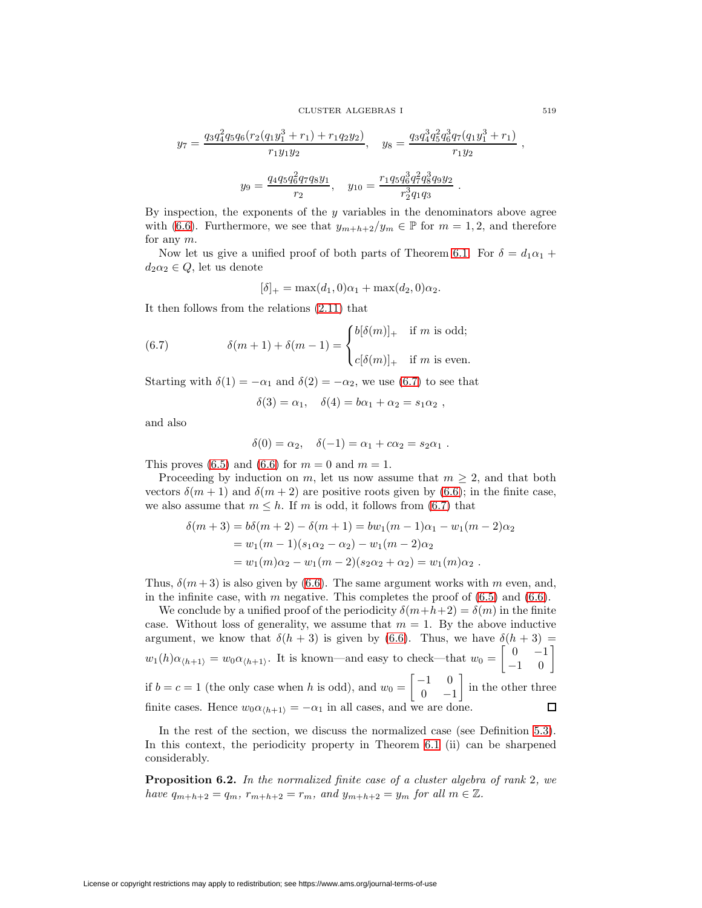$$
y_7 = \frac{q_3 q_4^2 q_5 q_6 (r_2 (q_1 y_1^3 + r_1) + r_1 q_2 y_2)}{r_1 y_1 y_2}, \quad y_8 = \frac{q_3 q_4^3 q_5^2 q_6^3 q_7 (q_1 y_1^3 + r_1)}{r_1 y_2}
$$

$$
y_9 = \frac{q_4 q_5 q_6^2 q_7 q_8 y_1}{r_2}, \quad y_{10} = \frac{r_1 q_5 q_6^3 q_7^2 q_8^3 q_9 y_2}{r_2^3 q_1 q_3}.
$$

By inspection, the exponents of the  $y$  variables in the denominators above agree with [\(6.6\)](#page-20-2). Furthermore, we see that  $y_{m+h+2}/y_m \in \mathbb{P}$  for  $m=1,2$ , and therefore for any m.

Now let us give a unified proof of both parts of Theorem [6.1.](#page-20-1) For  $\delta = d_1 \alpha_1 +$  $d_2\alpha_2\in Q,$  let us denote

$$
[\delta]_+ = \max(d_1, 0)\alpha_1 + \max(d_2, 0)\alpha_2.
$$

<span id="page-22-0"></span>It then follows from the relations [\(2.11\)](#page-5-0) that

(6.7) 
$$
\delta(m+1) + \delta(m-1) = \begin{cases} b[\delta(m)]_+ & \text{if } m \text{ is odd;} \\ c[\delta(m)]_+ & \text{if } m \text{ is even.} \end{cases}
$$

Starting with  $\delta(1) = -\alpha_1$  and  $\delta(2) = -\alpha_2$ , we use [\(6.7\)](#page-22-0) to see that

$$
\delta(3) = \alpha_1, \quad \delta(4) = b\alpha_1 + \alpha_2 = s_1\alpha_2 ,
$$

and also

$$
\delta(0) = \alpha_2, \quad \delta(-1) = \alpha_1 + c\alpha_2 = s_2\alpha_1.
$$

This proves [\(6.5\)](#page-20-3) and [\(6.6\)](#page-20-2) for  $m = 0$  and  $m = 1$ .

Proceeding by induction on m, let us now assume that  $m \geq 2$ , and that both vectors  $\delta(m+1)$  and  $\delta(m+2)$  are positive roots given by [\(6.6\)](#page-20-2); in the finite case, we also assume that  $m \leq h$ . If m is odd, it follows from [\(6.7\)](#page-22-0) that

$$
\delta(m+3) = b\delta(m+2) - \delta(m+1) = bw_1(m-1)\alpha_1 - w_1(m-2)\alpha_2
$$
  
=  $w_1(m-1)(s_1\alpha_2 - \alpha_2) - w_1(m-2)\alpha_2$   
=  $w_1(m)\alpha_2 - w_1(m-2)(s_2\alpha_2 + \alpha_2) = w_1(m)\alpha_2$ .

Thus,  $\delta(m+3)$  is also given by [\(6.6\)](#page-20-2). The same argument works with m even, and, in the infinite case, with  $m$  negative. This completes the proof of  $(6.5)$  and  $(6.6)$ .

We conclude by a unified proof of the periodicity  $\delta(m+h+2) = \delta(m)$  in the finite case. Without loss of generality, we assume that  $m = 1$ . By the above inductive argument, we know that  $\delta(h+3)$  is given by [\(6.6\)](#page-20-2). Thus, we have  $\delta(h+3)$  =  $\begin{bmatrix} 0 & -1 \\ -1 & 0 \end{bmatrix}$  $w_1(h)\alpha_{\langle h+1\rangle} = w_0\alpha_{\langle h+1\rangle}$ . It is known—and easy to check—that  $w_0 =$  $\begin{bmatrix} -1 & 0 \end{bmatrix}$ 1 if  $b = c = 1$  (the only case when h is odd), and  $w_0 =$ in the other three  $0 -1$ finite cases. Hence  $w_0 \alpha_{\langle h+1 \rangle} = -\alpha_1$  in all cases, and we are done.  $\Box$ 

In the rest of the section, we discuss the normalized case (see Definition [5.3\)](#page-16-4). In this context, the periodicity property in Theorem [6.1](#page-20-1) (ii) can be sharpened considerably.

<span id="page-22-1"></span>**Proposition 6.2.** In the normalized finite case of a cluster algebra of rank 2, we have  $q_{m+h+2} = q_m$ ,  $r_{m+h+2} = r_m$ , and  $y_{m+h+2} = y_m$  for all  $m \in \mathbb{Z}$ .

License or copyright restrictions may apply to redistribution; see https://www.ams.org/journal-terms-of-use

,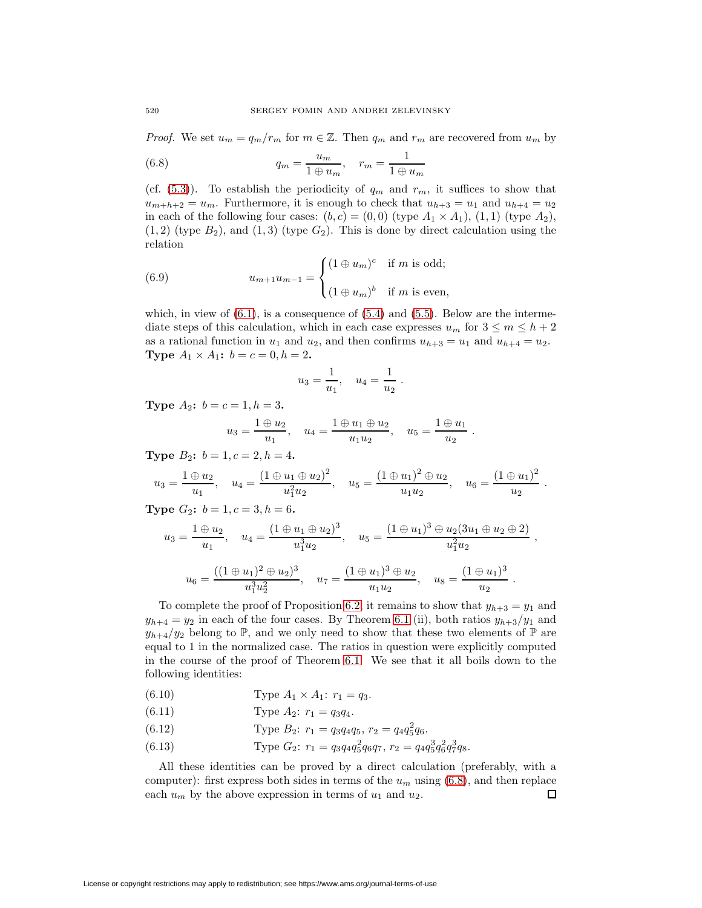<span id="page-23-0"></span>*Proof.* We set  $u_m = q_m/r_m$  for  $m \in \mathbb{Z}$ . Then  $q_m$  and  $r_m$  are recovered from  $u_m$  by

(6.8) 
$$
q_m = \frac{u_m}{1 \oplus u_m}, \quad r_m = \frac{1}{1 \oplus u_m}
$$

(cf.  $(5.3)$ ). To establish the periodicity of  $q_m$  and  $r_m$ , it suffices to show that  $u_{m+h+2} = u_m$ . Furthermore, it is enough to check that  $u_{h+3} = u_1$  and  $u_{h+4} = u_2$ in each of the following four cases:  $(b, c) = (0, 0)$  (type  $A_1 \times A_1$ ),  $(1, 1)$  (type  $A_2$ ),  $(1, 2)$  (type  $B_2$ ), and  $(1, 3)$  (type  $G_2$ ). This is done by direct calculation using the relation

<span id="page-23-1"></span>(6.9) 
$$
u_{m+1}u_{m-1} = \begin{cases} (1 \oplus u_m)^c & \text{if } m \text{ is odd;} \\ (1 \oplus u_m)^b & \text{if } m \text{ is even,} \end{cases}
$$

which, in view of  $(6.1)$ , is a consequence of  $(5.4)$  and  $(5.5)$ . Below are the intermediate steps of this calculation, which in each case expresses  $u_m$  for  $3 \le m \le h+2$ as a rational function in  $u_1$  and  $u_2$ , and then confirms  $u_{h+3} = u_1$  and  $u_{h+4} = u_2$ . **Type**  $A_1 \times A_1$ :  $b = c = 0, h = 2$ .

$$
u_3 = \frac{1}{u_1}
$$
,  $u_4 = \frac{1}{u_2}$ .

**Type**  $A_2$ :  $b = c = 1, h = 3$ .

$$
u_3 = \frac{1 \oplus u_2}{u_1}, \quad u_4 = \frac{1 \oplus u_1 \oplus u_2}{u_1 u_2}, \quad u_5 = \frac{1 \oplus u_1}{u_2}
$$

.

**Type**  $B_2$ :  $b = 1, c = 2, h = 4$ .

$$
u_3 = \frac{1 \oplus u_2}{u_1}
$$
,  $u_4 = \frac{(1 \oplus u_1 \oplus u_2)^2}{u_1^2 u_2}$ ,  $u_5 = \frac{(1 \oplus u_1)^2 \oplus u_2}{u_1 u_2}$ ,  $u_6 = \frac{(1 \oplus u_1)^2}{u_2}$ .

**Type**  $G_2$ :  $b = 1, c = 3, h = 6$ .

$$
u_3 = \frac{1 \oplus u_2}{u_1}, \quad u_4 = \frac{(1 \oplus u_1 \oplus u_2)^3}{u_1^3 u_2}, \quad u_5 = \frac{(1 \oplus u_1)^3 \oplus u_2(3u_1 \oplus u_2 \oplus 2)}{u_1^2 u_2},
$$

$$
u_6 = \frac{((1 \oplus u_1)^2 \oplus u_2)^3}{u_1^3 u_2^2}, \quad u_7 = \frac{(1 \oplus u_1)^3 \oplus u_2}{u_1 u_2}, \quad u_8 = \frac{(1 \oplus u_1)^3}{u_2}.
$$

To complete the proof of Proposition [6.2,](#page-22-1) it remains to show that  $y_{h+3} = y_1$  and  $y_{h+4} = y_2$  in each of the four cases. By Theorem [6.1](#page-20-1) (ii), both ratios  $y_{h+3}/y_1$  and  $y_{h+4}/y_2$  belong to P, and we only need to show that these two elements of P are equal to 1 in the normalized case. The ratios in question were explicitly computed in the course of the proof of Theorem [6.1.](#page-20-1) We see that it all boils down to the following identities:

<span id="page-23-2"></span>(6.10) Type 
$$
A_1 \times A_1
$$
:  $r_1 = q_3$ .

(6.11) Type  $A_2$ :  $r_1 = q_3 q_4$ .

(6.12) Type 
$$
B_2
$$
:  $r_1 = q_3 q_4 q_5$ ,  $r_2 = q_4 q_5^2 q_6$ .

(6.13) Type 
$$
G_2
$$
:  $r_1 = q_3 q_4 q_5^2 q_6 q_7$ ,  $r_2 = q_4 q_5^3 q_6^2 q_7^3 q_8$ .

All these identities can be proved by a direct calculation (preferably, with a computer): first express both sides in terms of the  $u_m$  using  $(6.8)$ , and then replace each  $u_m$  by the above expression in terms of  $u_1$  and  $u_2$ .  $\Box$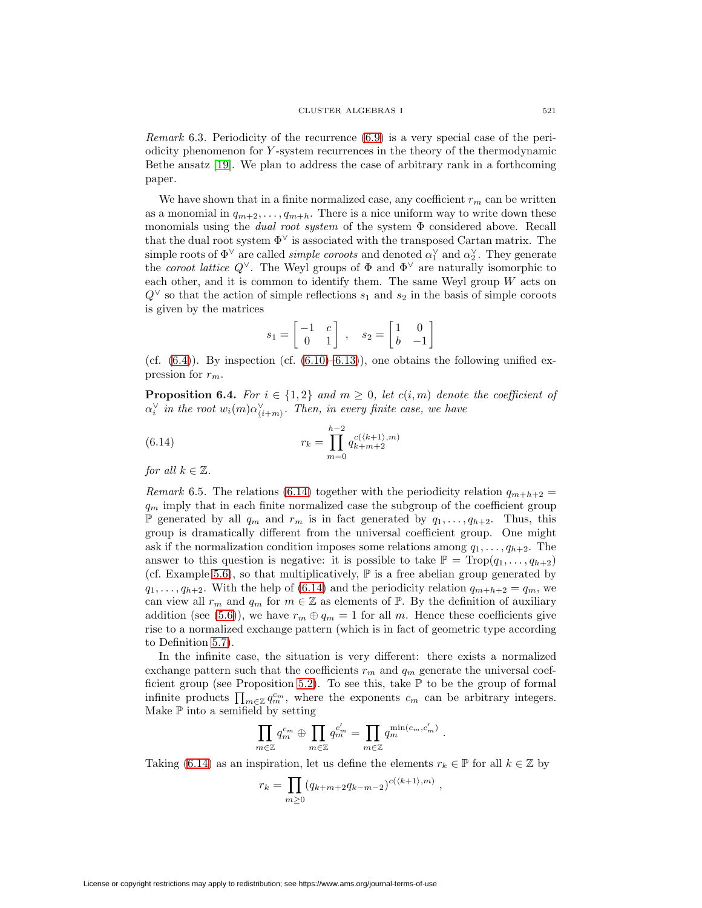Remark 6.3. Periodicity of the recurrence [\(6.9\)](#page-23-1) is a very special case of the periodicity phenomenon for Y -system recurrences in the theory of the thermodynamic Bethe ansatz [\[19\]](#page-32-11). We plan to address the case of arbitrary rank in a forthcoming paper.

We have shown that in a finite normalized case, any coefficient  $r_m$  can be written as a monomial in  $q_{m+2}, \ldots, q_{m+h}$ . There is a nice uniform way to write down these monomials using the *dual root system* of the system  $\Phi$  considered above. Recall that the dual root system  $\Phi^{\vee}$  is associated with the transposed Cartan matrix. The simple roots of  $\Phi^{\vee}$  are called *simple coroots* and denoted  $\alpha_1^{\vee}$  and  $\alpha_2^{\vee}$ . They generate the coroot lattice  $Q^{\vee}$ . The Weyl groups of  $\Phi$  and  $\Phi^{\vee}$  are naturally isomorphic to each other, and it is common to identify them. The same Weyl group  $W$  acts on  $Q^{\vee}$  so that the action of simple reflections  $s_1$  and  $s_2$  in the basis of simple coroots is given by the matrices

$$
s_1 = \begin{bmatrix} -1 & c \\ 0 & 1 \end{bmatrix}, \quad s_2 = \begin{bmatrix} 1 & 0 \\ b & -1 \end{bmatrix}
$$

(cf.  $(6.4)$ ). By inspection (cf.  $(6.10)$ –6.13)), one obtains the following unified expression for  $r_m$ .

**Proposition 6.4.** For  $i \in \{1,2\}$  and  $m \geq 0$ , let  $c(i, m)$  denote the coefficient of  $\alpha_i^{\vee}$  in the root  $w_i(m)\alpha_{\langle i+m \rangle}^{\vee}$ . Then, in every finite case, we have

<span id="page-24-1"></span>(6.14) 
$$
r_k = \prod_{m=0}^{h-2} q_{k+m+2}^{c(\langle k+1 \rangle, m)}
$$

<span id="page-24-0"></span>for all  $k \in \mathbb{Z}$ .

Remark 6.5. The relations [\(6.14\)](#page-24-1) together with the periodicity relation  $q_{m+h+2} =$  $q_m$  imply that in each finite normalized case the subgroup of the coefficient group **P** generated by all  $q_m$  and  $r_m$  is in fact generated by  $q_1, \ldots, q_{h+2}$ . Thus, this group is dramatically different from the universal coefficient group. One might ask if the normalization condition imposes some relations among  $q_1, \ldots, q_{h+2}$ . The answer to this question is negative: it is possible to take  $\mathbb{P} = \text{Top}(q_1, \ldots, q_{h+2})$ (cf. Example [5.6\)](#page-17-4), so that multiplicatively,  $\mathbb P$  is a free abelian group generated by  $q_1,\ldots,q_{h+2}$ . With the help of [\(6.14\)](#page-24-1) and the periodicity relation  $q_{m+h+2} = q_m$ , we can view all  $r_m$  and  $q_m$  for  $m \in \mathbb{Z}$  as elements of  $\mathbb{P}$ . By the definition of auxiliary addition (see [\(5.6\)](#page-17-0)), we have  $r_m \oplus q_m = 1$  for all m. Hence these coefficients give rise to a normalized exchange pattern (which is in fact of geometric type according to Definition [5.7\)](#page-17-5).

In the infinite case, the situation is very different: there exists a normalized exchange pattern such that the coefficients  $r_m$  and  $q_m$  generate the universal coef-ficient group (see Proposition [5.2\)](#page-16-3). To see this, take  $\mathbb P$  to be the group of formal infinite products  $\prod_{m\in\mathbb{Z}}q_m^{c_m}$ , where the exponents  $c_m$  can be arbitrary integers. Make  $\mathbb P$  into a semifield by setting

$$
\prod_{m\in\mathbb{Z}}q_m^{c_m}\oplus\prod_{m\in\mathbb{Z}}q_m^{c'_m}=\prod_{m\in\mathbb{Z}}q_m^{\min(c_m,c'_m)}.
$$

Taking [\(6.14\)](#page-24-1) as an inspiration, let us define the elements  $r_k \in \mathbb{P}$  for all  $k \in \mathbb{Z}$  by

$$
r_k = \prod_{m \ge 0} (q_{k+m+2}q_{k-m-2})^{c(\langle k+1 \rangle, m)},
$$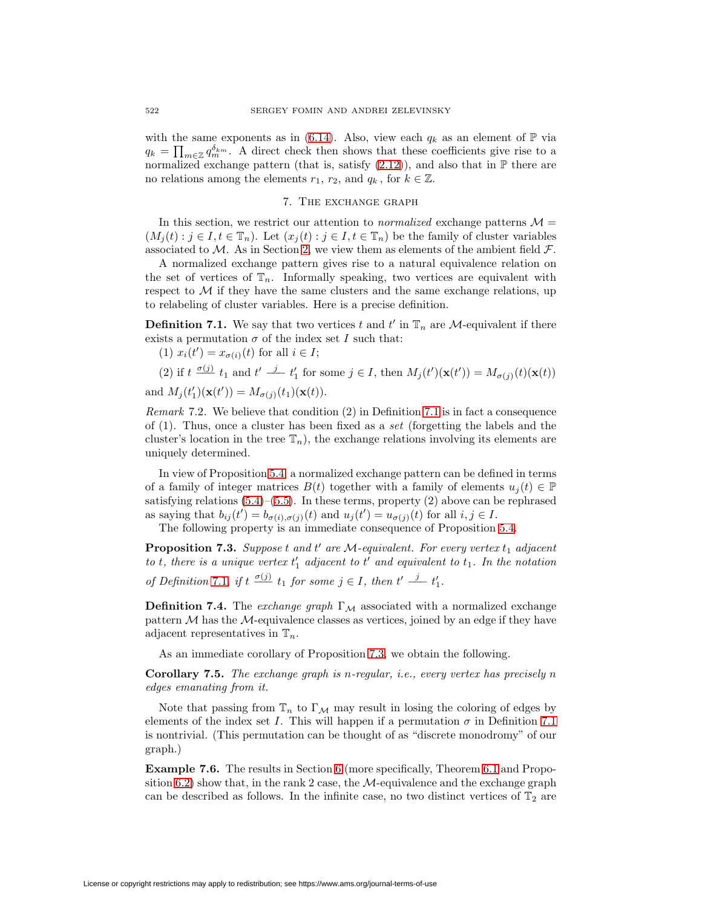with the same exponents as in [\(6.14\)](#page-24-1). Also, view each  $q_k$  as an element of  $\mathbb P$  via  $q_k = \prod_{m \in \mathbb{Z}} q_m^{\delta_{km}}$ . A direct check then shows that these coefficients give rise to a normalized exchange pattern (that is, satisfy  $(2.12)$ ), and also that in  $\mathbb P$  there are no relations among the elements  $r_1, r_2$ , and  $q_k$ , for  $k \in \mathbb{Z}$ .

# 7. The exchange graph

<span id="page-25-0"></span>In this section, we restrict our attention to *normalized* exchange patterns  $\mathcal{M} =$  $(M_i(t) : j \in I, t \in \mathbb{T}_n)$ . Let  $(x_i(t) : j \in I, t \in \mathbb{T}_n)$  be the family of cluster variables associated to M. As in Section [2,](#page-3-0) we view them as elements of the ambient field  $\mathcal{F}$ .

A normalized exchange pattern gives rise to a natural equivalence relation on the set of vertices of  $\mathbb{T}_n$ . Informally speaking, two vertices are equivalent with respect to  $M$  if they have the same clusters and the same exchange relations, up to relabeling of cluster variables. Here is a precise definition.

<span id="page-25-2"></span>**Definition 7.1.** We say that two vertices t and  $t'$  in  $\mathbb{T}_n$  are M-equivalent if there exists a permutation  $\sigma$  of the index set I such that:

(1)  $x_i(t') = x_{\sigma(i)}(t)$  for all  $i \in I$ ;

(2) if  $t \frac{\sigma(j)}{l} t_1$  and  $t' \frac{j}{l} t_1'$  for some  $j \in I$ , then  $M_j(t')(\mathbf{x}(t')) = M_{\sigma(j)}(t)(\mathbf{x}(t))$ 

and  $M_j(t'_1)(\mathbf{x}(t')) = M_{\sigma(j)}(t_1)(\mathbf{x}(t)).$ 

Remark 7.2. We believe that condition (2) in Definition [7.1](#page-25-2) is in fact a consequence of (1). Thus, once a cluster has been fixed as a set (forgetting the labels and the cluster's location in the tree  $\mathbb{T}_n$ , the exchange relations involving its elements are uniquely determined.

In view of Proposition [5.4,](#page-16-2) a normalized exchange pattern can be defined in terms of a family of integer matrices  $B(t)$  together with a family of elements  $u_i(t) \in \mathbb{P}$ satisfying relations  $(5.4)$ – $(5.5)$ . In these terms, property  $(2)$  above can be rephrased as saying that  $b_{ij}(t') = b_{\sigma(i),\sigma(j)}(t)$  and  $u_j(t') = u_{\sigma(j)}(t)$  for all  $i, j \in I$ .

The following property is an immediate consequence of Proposition [5.4.](#page-16-2)

<span id="page-25-3"></span>**Proposition 7.3.** Suppose  $t$  and  $t'$  are M-equivalent. For every vertex  $t_1$  adjacent to t, there is a unique vertex  $t_1'$  adjacent to  $t'$  and equivalent to  $t_1$ . In the notation of Definition [7.1,](#page-25-2) if  $t \frac{\sigma(j)}{2} t_1$  for some  $j \in I$ , then  $t' \stackrel{j}{\longrightarrow} t'_1$ .

**Definition 7.4.** The exchange graph  $\Gamma_M$  associated with a normalized exchange pattern  $M$  has the  $M$ -equivalence classes as vertices, joined by an edge if they have adjacent representatives in  $\mathbb{T}_n$ .

As an immediate corollary of Proposition [7.3,](#page-25-3) we obtain the following.

**Corollary 7.5.** The exchange graph is n-regular, i.e., every vertex has precisely n edges emanating from it.

Note that passing from  $\mathbb{T}_n$  to  $\Gamma_M$  may result in losing the coloring of edges by elements of the index set I. This will happen if a permutation  $\sigma$  in Definition [7.1](#page-25-2) is nontrivial. (This permutation can be thought of as "discrete monodromy" of our graph.)

<span id="page-25-1"></span>**Example 7.6.** The results in Section [6](#page-19-0) (more specifically, Theorem [6.1](#page-20-1) and Propo-sition [6.2\)](#page-22-1) show that, in the rank 2 case, the  $\mathcal{M}$ -equivalence and the exchange graph can be described as follows. In the infinite case, no two distinct vertices of  $\mathbb{T}_2$  are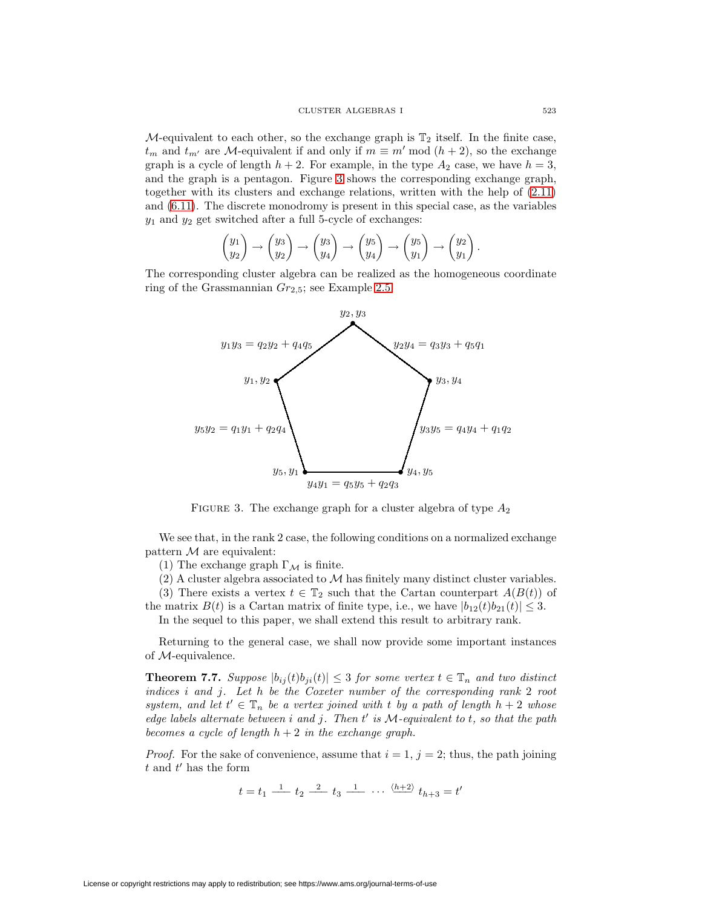M-equivalent to each other, so the exchange graph is  $\mathbb{T}_2$  itself. In the finite case,  $t_m$  and  $t_{m'}$  are M-equivalent if and only if  $m \equiv m' \mod (h + 2)$ , so the exchange graph is a cycle of length  $h + 2$ . For example, in the type  $A_2$  case, we have  $h = 3$ , and the graph is a pentagon. Figure [3](#page-26-0) shows the corresponding exchange graph, together with its clusters and exchange relations, written with the help of [\(2.11\)](#page-5-0) and [\(6.11\)](#page-23-2). The discrete monodromy is present in this special case, as the variables  $y_1$  and  $y_2$  get switched after a full 5-cycle of exchanges:

$$
\begin{pmatrix} y_1 \\ y_2 \end{pmatrix} \rightarrow \begin{pmatrix} y_3 \\ y_2 \end{pmatrix} \rightarrow \begin{pmatrix} y_3 \\ y_4 \end{pmatrix} \rightarrow \begin{pmatrix} y_5 \\ y_4 \end{pmatrix} \rightarrow \begin{pmatrix} y_5 \\ y_1 \end{pmatrix} \rightarrow \begin{pmatrix} y_2 \\ y_1 \end{pmatrix}.
$$

The corresponding cluster algebra can be realized as the homogeneous coordinate ring of the Grassmannian  $Gr_{2,5}$ ; see Example [2.5.](#page-5-2)



<span id="page-26-0"></span>FIGURE 3. The exchange graph for a cluster algebra of type  $A_2$ 

We see that, in the rank 2 case, the following conditions on a normalized exchange pattern  $M$  are equivalent:

(1) The exchange graph  $\Gamma_{\mathcal{M}}$  is finite.

(2) A cluster algebra associated to  $M$  has finitely many distinct cluster variables.

(3) There exists a vertex  $t \in \mathbb{T}_2$  such that the Cartan counterpart  $A(B(t))$  of the matrix  $B(t)$  is a Cartan matrix of finite type, i.e., we have  $|b_{12}(t)b_{21}(t)| \leq 3$ .

In the sequel to this paper, we shall extend this result to arbitrary rank.

<span id="page-26-1"></span>Returning to the general case, we shall now provide some important instances of M-equivalence.

**Theorem 7.7.** Suppose  $|b_{ij}(t)b_{ji}(t)| \leq 3$  for some vertex  $t \in \mathbb{T}_n$  and two distinct indices i and j. Let h be the Coxeter number of the corresponding rank 2 root system, and let  $t' \in \mathbb{T}_n$  be a vertex joined with t by a path of length  $h + 2$  whose edge labels alternate between  $i$  and  $j$ . Then  $t'$  is  $M$ -equivalent to  $t$ , so that the path becomes a cycle of length  $h + 2$  in the exchange graph.

*Proof.* For the sake of convenience, assume that  $i = 1$ ,  $j = 2$ ; thus, the path joining  $t$  and  $t'$  has the form

 $t = t_1 \frac{1}{t_2} \frac{2}{t_3} \frac{1}{t_4} \cdots \frac{\langle h+2 \rangle}{t_{h+3}} t_h$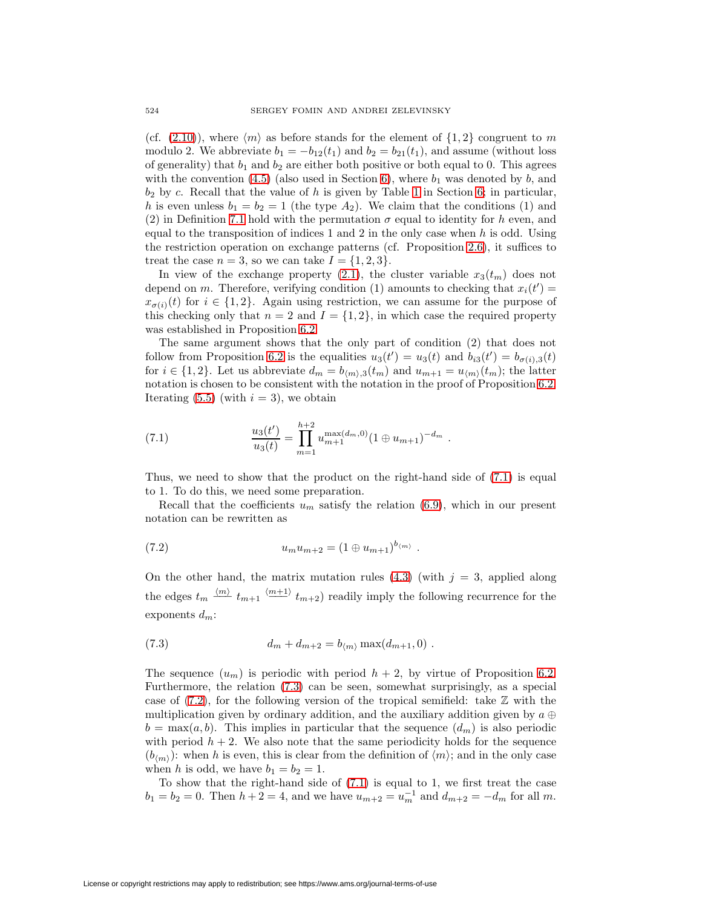(cf. [\(2.10\)](#page-5-3)), where  $\langle m \rangle$  as before stands for the element of  $\{1, 2\}$  congruent to m modulo 2. We abbreviate  $b_1 = -b_{12}(t_1)$  and  $b_2 = b_{21}(t_1)$ , and assume (without loss of generality) that  $b_1$  and  $b_2$  are either both positive or both equal to 0. This agrees with the convention  $(4.5)$  (also used in Section [6\)](#page-19-0), where  $b_1$  was denoted by b, and  $b_2$  by c. Recall that the value of h is given by Table [1](#page-20-0) in Section [6;](#page-19-0) in particular, h is even unless  $b_1 = b_2 = 1$  (the type  $A_2$ ). We claim that the conditions (1) and (2) in Definition [7.1](#page-25-2) hold with the permutation  $\sigma$  equal to identity for h even, and equal to the transposition of indices 1 and 2 in the only case when  $h$  is odd. Using the restriction operation on exchange patterns (cf. Proposition [2.6\)](#page-7-0), it suffices to treat the case  $n = 3$ , so we can take  $I = \{1, 2, 3\}.$ 

In view of the exchange property [\(2.1\)](#page-3-1), the cluster variable  $x_3(t_m)$  does not depend on m. Therefore, verifying condition (1) amounts to checking that  $x_i(t') =$  $x_{\sigma(i)}(t)$  for  $i \in \{1,2\}$ . Again using restriction, we can assume for the purpose of this checking only that  $n = 2$  and  $I = \{1, 2\}$ , in which case the required property was established in Proposition [6.2.](#page-22-1)

The same argument shows that the only part of condition (2) that does not follow from Proposition [6.2](#page-22-1) is the equalities  $u_3(t') = u_3(t)$  and  $b_{i3}(t') = b_{\sigma(i),3}(t)$ for  $i \in \{1, 2\}$ . Let us abbreviate  $d_m = b_{\langle m \rangle,3}(t_m)$  and  $u_{m+1} = u_{\langle m \rangle}(t_m)$ ; the latter notation is chosen to be consistent with the notation in the proof of Proposition [6.2.](#page-22-1) Iterating  $(5.5)$  (with  $i = 3$ ), we obtain

<span id="page-27-0"></span>(7.1) 
$$
\frac{u_3(t')}{u_3(t)} = \prod_{m=1}^{h+2} u_{m+1}^{\max(d_m,0)} (1 \oplus u_{m+1})^{-d_m} .
$$

Thus, we need to show that the product on the right-hand side of [\(7.1\)](#page-27-0) is equal to 1. To do this, we need some preparation.

Recall that the coefficients  $u_m$  satisfy the relation [\(6.9\)](#page-23-1), which in our present notation can be rewritten as

<span id="page-27-2"></span>(7.2) 
$$
u_m u_{m+2} = (1 \oplus u_{m+1})^{b_{\langle m \rangle}}.
$$

On the other hand, the matrix mutation rules [\(4.3\)](#page-13-1) (with  $j = 3$ , applied along the edges  $t_m \stackrel{\langle m \rangle}{=} t_{m+1} \stackrel{\langle m+1 \rangle}{=} t_{m+2}$  readily imply the following recurrence for the exponents  $d_m$ :

<span id="page-27-1"></span>(7.3) 
$$
d_m + d_{m+2} = b_{\langle m \rangle} \max(d_{m+1}, 0) .
$$

The sequence  $(u_m)$  is periodic with period  $h + 2$ , by virtue of Proposition [6.2.](#page-22-1) Furthermore, the relation [\(7.3\)](#page-27-1) can be seen, somewhat surprisingly, as a special case of  $(7.2)$ , for the following version of the tropical semifield: take  $\mathbb Z$  with the multiplication given by ordinary addition, and the auxiliary addition given by  $a \oplus a$  $b = \max(a, b)$ . This implies in particular that the sequence  $(d_m)$  is also periodic with period  $h + 2$ . We also note that the same periodicity holds for the sequence  $(b_{\langle m \rangle})$ : when h is even, this is clear from the definition of  $\langle m \rangle$ ; and in the only case when h is odd, we have  $b_1 = b_2 = 1$ .

To show that the right-hand side of [\(7.1\)](#page-27-0) is equal to 1, we first treat the case  $b_1 = b_2 = 0$ . Then  $h + 2 = 4$ , and we have  $u_{m+2} = u_m^{-1}$  and  $d_{m+2} = -d_m$  for all m.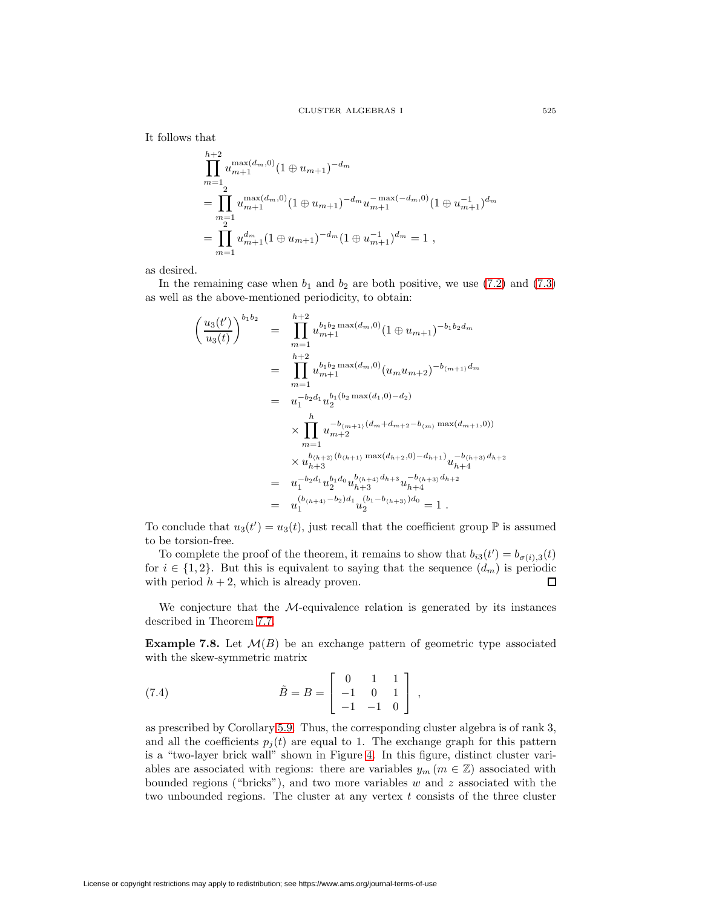It follows that

$$
\prod_{m=1}^{h+2} u_{m+1}^{\max(d_m,0)} (1 \oplus u_{m+1})^{-d_m}
$$
\n
$$
= \prod_{m=1}^{2} u_{m+1}^{\max(d_m,0)} (1 \oplus u_{m+1})^{-d_m} u_{m+1}^{-\max(-d_m,0)} (1 \oplus u_{m+1}^{-1})^{d_m}
$$
\n
$$
= \prod_{m=1}^{2} u_{m+1}^{d_m} (1 \oplus u_{m+1})^{-d_m} (1 \oplus u_{m+1}^{-1})^{d_m} = 1,
$$

as desired.

In the remaining case when  $b_1$  and  $b_2$  are both positive, we use [\(7.2\)](#page-27-2) and [\(7.3\)](#page-27-1) as well as the above-mentioned periodicity, to obtain:

$$
\begin{aligned}\n\left(\frac{u_3(t')}{u_3(t)}\right)^{b_1 b_2} &= \prod_{m=1}^{h+2} u_{m+1}^{b_1 b_2 \max(d_m,0)} (1 \oplus u_{m+1})^{-b_1 b_2 d_m} \\
&= \prod_{m=1}^{h+2} u_{m+1}^{b_1 b_2 \max(d_m,0)} (u_m u_{m+2})^{-b_{(m+1)} d_m} \\
&= u_1^{-b_2 d_1} u_2^{b_1 (b_2 \max(d_1,0) - d_2)} \\
&\times \prod_{m=1}^h u_{m+2}^{-b_{(m+1)} (d_m + d_{m+2} - b_{(m)} \max(d_{m+1},0))} \\
&\times u_{h+3}^{b_{(h+2)} (b_{(h+1)} \max(d_{h+2},0) - d_{h+1})} u_{h+4}^{-b_{(h+3)} d_{h+2}} \\
&= u_1^{-b_2 d_1} u_2^{b_1 d_0} u_{h+3}^{b_{(h+4)} d_{h+3}} u_{h+4}^{-b_{(h+3)} d_{h+2}} \\
&= u_1^{(b_{(h+4)} - b_2) d_1} u_2^{(b_1 - b_{(h+3)}) d_0} = 1 \, .\n\end{aligned}
$$

To conclude that  $u_3(t') = u_3(t)$ , just recall that the coefficient group  $\mathbb P$  is assumed to be torsion-free.

To complete the proof of the theorem, it remains to show that  $b_{i3}(t') = b_{\sigma(i),3}(t)$ for  $i \in \{1,2\}$ . But this is equivalent to saying that the sequence  $(d_m)$  is periodic with period  $h + 2$ , which is already proven.  $\Box$ 

We conjecture that the M-equivalence relation is generated by its instances described in Theorem [7.7.](#page-26-1)

**Example 7.8.** Let  $\mathcal{M}(B)$  be an exchange pattern of geometric type associated with the skew-symmetric matrix

<span id="page-28-0"></span>(7.4) 
$$
\tilde{B} = B = \begin{bmatrix} 0 & 1 & 1 \\ -1 & 0 & 1 \\ -1 & -1 & 0 \end{bmatrix},
$$

as prescribed by Corollary [5.9.](#page-18-3) Thus, the corresponding cluster algebra is of rank 3, and all the coefficients  $p_i(t)$  are equal to 1. The exchange graph for this pattern is a "two-layer brick wall" shown in Figure [4.](#page-29-0) In this figure, distinct cluster variables are associated with regions: there are variables  $y_m$  ( $m \in \mathbb{Z}$ ) associated with bounded regions ("bricks"), and two more variables  $w$  and  $z$  associated with the two unbounded regions. The cluster at any vertex  $t$  consists of the three cluster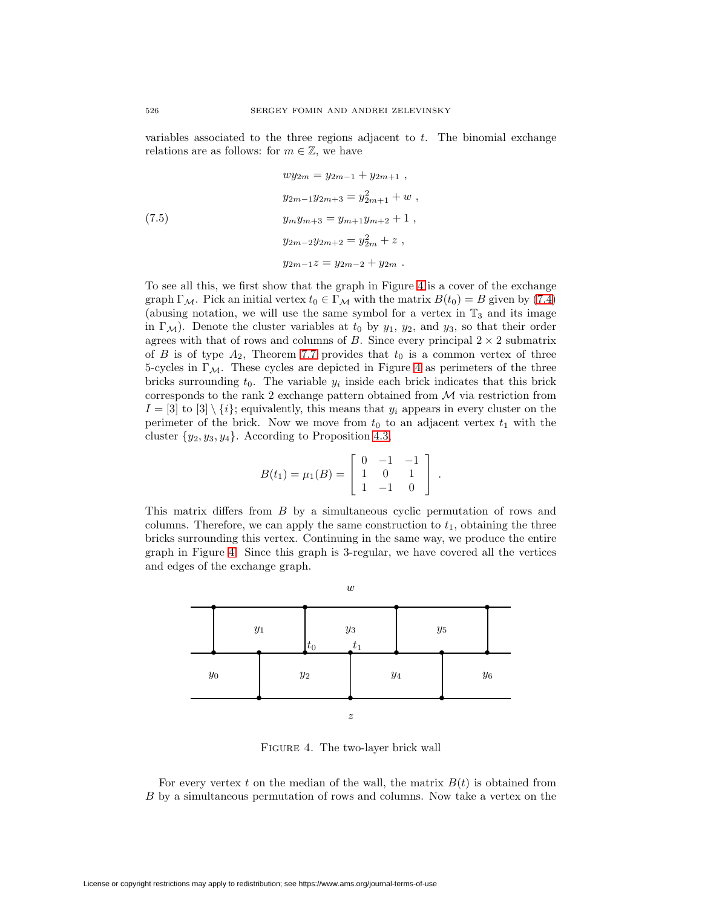variables associated to the three regions adjacent to t. The binomial exchange relations are as follows: for  $m \in \mathbb{Z}$ , we have

<span id="page-29-1"></span>(7.5) 
$$
wy_{2m} = y_{2m-1} + y_{2m+1} ,
$$

$$
y_{2m-1}y_{2m+3} = y_{2m+1}^2 + w ,
$$

$$
y_my_{m+3} = y_{m+1}y_{m+2} + 1 ,
$$

$$
y_{2m-2}y_{2m+2} = y_{2m}^2 + z ,
$$

$$
y_{2m-1}z = y_{2m-2} + y_{2m} .
$$

To see all this, we first show that the graph in Figure [4](#page-29-0) is a cover of the exchange graph  $\Gamma_{\mathcal{M}}$ . Pick an initial vertex  $t_0 \in \Gamma_{\mathcal{M}}$  with the matrix  $B(t_0) = B$  given by [\(7.4\)](#page-28-0) (abusing notation, we will use the same symbol for a vertex in  $\mathbb{T}_3$  and its image in  $\Gamma_{\mathcal{M}}$ ). Denote the cluster variables at  $t_0$  by  $y_1$ ,  $y_2$ , and  $y_3$ , so that their order agrees with that of rows and columns of B. Since every principal  $2 \times 2$  submatrix of B is of type  $A_2$ , Theorem [7.7](#page-26-1) provides that  $t_0$  is a common vertex of three 5-cycles in  $\Gamma_{\mathcal{M}}$ . These cycles are depicted in Figure [4](#page-29-0) as perimeters of the three bricks surrounding  $t_0$ . The variable  $y_i$  inside each brick indicates that this brick corresponds to the rank 2 exchange pattern obtained from  $M$  via restriction from  $I = [3]$  to  $[3] \setminus \{i\}$ ; equivalently, this means that  $y_i$  appears in every cluster on the perimeter of the brick. Now we move from  $t_0$  to an adjacent vertex  $t_1$  with the cluster  $\{y_2, y_3, y_4\}$ . According to Proposition [4.3,](#page-13-2)

$$
B(t_1) = \mu_1(B) = \left[ \begin{array}{rrr} 0 & -1 & -1 \\ 1 & 0 & 1 \\ 1 & -1 & 0 \end{array} \right] .
$$

This matrix differs from B by a simultaneous cyclic permutation of rows and columns. Therefore, we can apply the same construction to  $t_1$ , obtaining the three bricks surrounding this vertex. Continuing in the same way, we produce the entire graph in Figure [4.](#page-29-0) Since this graph is 3-regular, we have covered all the vertices and edges of the exchange graph.



<span id="page-29-0"></span>FIGURE 4. The two-layer brick wall

For every vertex t on the median of the wall, the matrix  $B(t)$  is obtained from B by a simultaneous permutation of rows and columns. Now take a vertex on the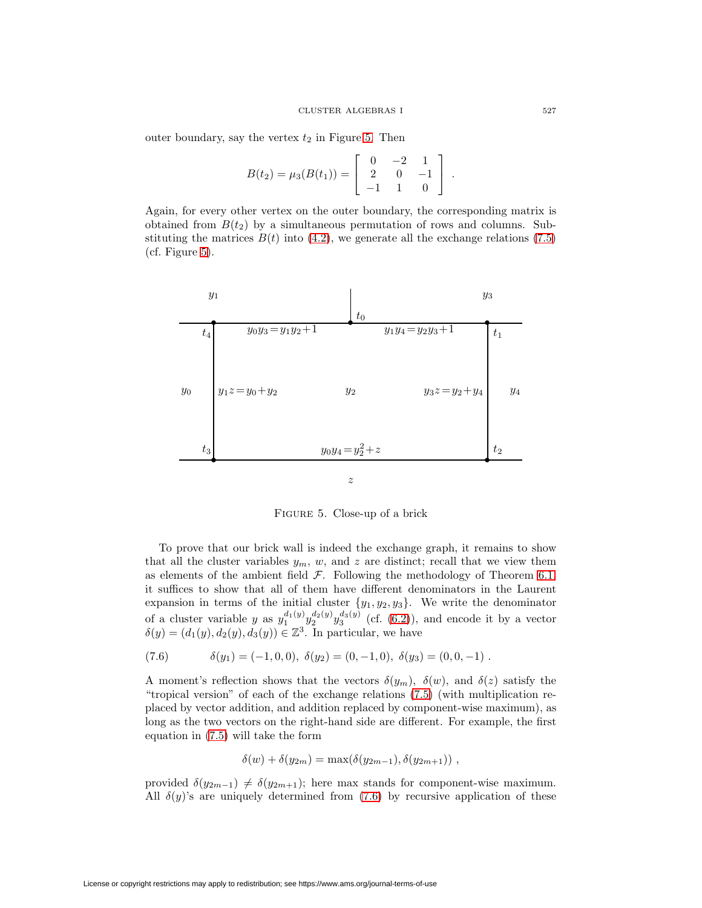outer boundary, say the vertex  $t_2$  in Figure [5.](#page-30-0) Then

$$
B(t_2) = \mu_3(B(t_1)) = \left[ \begin{array}{rrr} 0 & -2 & 1 \\ 2 & 0 & -1 \\ -1 & 1 & 0 \end{array} \right] .
$$

Again, for every other vertex on the outer boundary, the corresponding matrix is obtained from  $B(t_2)$  by a simultaneous permutation of rows and columns. Substituting the matrices  $B(t)$  into [\(4.2\)](#page-12-2), we generate all the exchange relations [\(7.5\)](#page-29-1) (cf. Figure [5\)](#page-30-0).



<span id="page-30-0"></span>Figure 5. Close-up of a brick

To prove that our brick wall is indeed the exchange graph, it remains to show that all the cluster variables  $y_m$ , w, and z are distinct; recall that we view them as elements of the ambient field  $\mathcal F$ . Following the methodology of Theorem [6.1,](#page-20-1) it suffices to show that all of them have different denominators in the Laurent expansion in terms of the initial cluster  $\{y_1, y_2, y_3\}$ . We write the denominator of a cluster variable y as  $y_1^{d_1(y)} y_2^{d_2(y)} y_3^{d_3(y)}$  (cf. [\(6.2\)](#page-19-1)), and encode it by a vector  $\delta(y)=(d_1(y), d_2(y), d_3(y))\in \mathbb{Z}^3$ . In particular, we have

<span id="page-30-1"></span>(7.6) 
$$
\delta(y_1) = (-1, 0, 0), \ \delta(y_2) = (0, -1, 0), \ \delta(y_3) = (0, 0, -1).
$$

A moment's reflection shows that the vectors  $\delta(y_m)$ ,  $\delta(w)$ , and  $\delta(z)$  satisfy the "tropical version" of each of the exchange relations [\(7.5\)](#page-29-1) (with multiplication replaced by vector addition, and addition replaced by component-wise maximum), as long as the two vectors on the right-hand side are different. For example, the first equation in [\(7.5\)](#page-29-1) will take the form

$$
\delta(w) + \delta(y_{2m}) = \max(\delta(y_{2m-1}), \delta(y_{2m+1})),
$$

provided  $\delta(y_{2m-1}) \neq \delta(y_{2m+1})$ ; here max stands for component-wise maximum. All  $\delta(y)$ 's are uniquely determined from [\(7.6\)](#page-30-1) by recursive application of these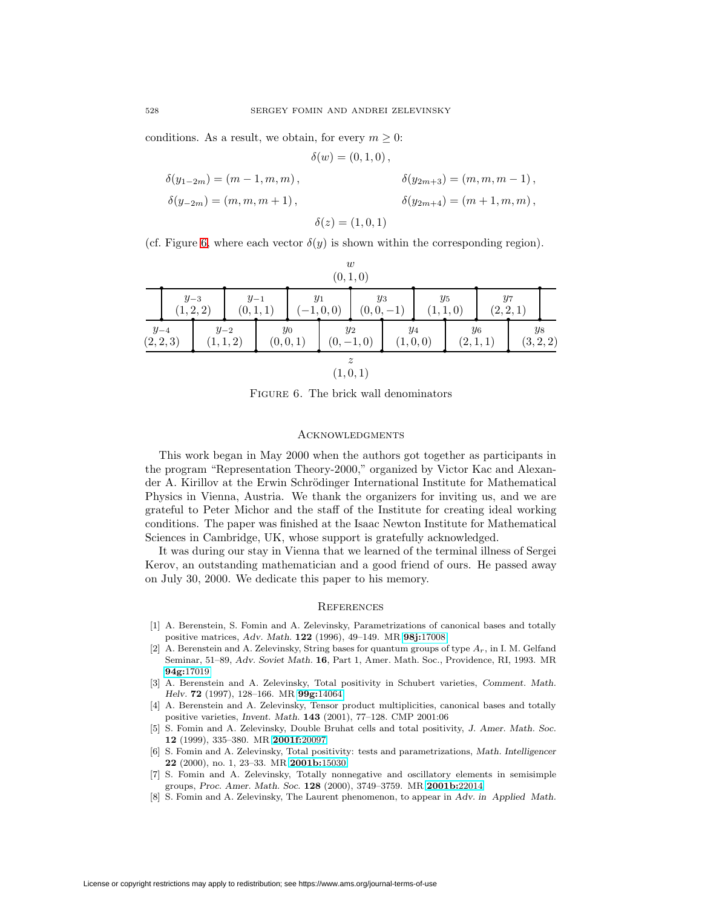conditions. As a result, we obtain, for every  $m \geq 0$ :

$$
\delta(w) = (0, 1, 0),
$$
  
\n
$$
\delta(y_{1-2m}) = (m - 1, m, m),
$$
  
\n
$$
\delta(y_{2m+3}) = (m, m, m - 1),
$$
  
\n
$$
\delta(y_{2m+4}) = (m + 1, m, m),
$$
  
\n
$$
\delta(z) = (1, 0, 1)
$$

(cf. Figure [6,](#page-31-8) where each vector  $\delta(y)$  is shown within the corresponding region).

|                       |  |                                                |                                             |                     |  |                     | $\boldsymbol{w}$<br>(0, 1, 0)          |                    |  |                    |  |                    |  |
|-----------------------|--|------------------------------------------------|---------------------------------------------|---------------------|--|---------------------|----------------------------------------|--------------------|--|--------------------|--|--------------------|--|
|                       |  | $y_{-3}$<br>$y_{-1}$<br>(1, 2, 2)<br>(0, 1, 1) |                                             | $y_1$<br>$(-1,0,0)$ |  | $y_3$<br>$(0,0,-1)$ |                                        | $y_5$<br>(1, 1, 0) |  | $y_7$<br>(2, 2, 1) |  |                    |  |
| $y_{-4}$<br>(2, 2, 3) |  |                                                | $y_{-2}$<br>$y_0$<br>(1, 1, 2)<br>(0, 0, 1) |                     |  | $y_2$<br>$(0,-1,0)$ |                                        | $y_4$<br>(1,0,0)   |  | $y_6$<br>(2,1,1)   |  | $y_8$<br>(3, 2, 2) |  |
|                       |  |                                                |                                             |                     |  |                     | $\widetilde{\mathcal{Z}}$<br>(1, 0, 1) |                    |  |                    |  |                    |  |

<span id="page-31-8"></span>FIGURE 6. The brick wall denominators

### **ACKNOWLEDGMENTS**

This work began in May 2000 when the authors got together as participants in the program "Representation Theory-2000," organized by Victor Kac and Alexander A. Kirillov at the Erwin Schrödinger International Institute for Mathematical Physics in Vienna, Austria. We thank the organizers for inviting us, and we are grateful to Peter Michor and the staff of the Institute for creating ideal working conditions. The paper was finished at the Isaac Newton Institute for Mathematical Sciences in Cambridge, UK, whose support is gratefully acknowledged.

It was during our stay in Vienna that we learned of the terminal illness of Sergei Kerov, an outstanding mathematician and a good friend of ours. He passed away on July 30, 2000. We dedicate this paper to his memory.

#### **REFERENCES**

- <span id="page-31-2"></span>[1] A. Berenstein, S. Fomin and A. Zelevinsky, Parametrizations of canonical bases and totally positive matrices, *Adv. Math.* **122** (1996), 49–149. MR **98j:**[17008](http://www.ams.org/mathscinet-getitem?mr=98j:17008)
- <span id="page-31-0"></span>[2] A. Berenstein and A. Zelevinsky, String bases for quantum groups of type  $A_r$ , in I. M. Gelfand Seminar, 51–89, *Adv. Soviet Math.* **16**, Part 1, Amer. Math. Soc., Providence, RI, 1993. MR **94g:**[17019](http://www.ams.org/mathscinet-getitem?mr=94g:17019)
- <span id="page-31-3"></span>[3] A. Berenstein and A. Zelevinsky, Total positivity in Schubert varieties, *Comment. Math. Helv.* **72** (1997), 128–166. MR **99g:**[14064](http://www.ams.org/mathscinet-getitem?mr=99g:14064)
- <span id="page-31-4"></span>[4] A. Berenstein and A. Zelevinsky, Tensor product multiplicities, canonical bases and totally positive varieties, *Invent. Math.* **143** (2001), 77–128. CMP 2001:06
- <span id="page-31-1"></span>[5] S. Fomin and A. Zelevinsky, Double Bruhat cells and total positivity, *J. Amer. Math. Soc.* **12** (1999), 335–380. MR **[2001f:](http://www.ams.org/mathscinet-getitem?mr=2001f:20097)**20097
- <span id="page-31-5"></span>[6] S. Fomin and A. Zelevinsky, Total positivity: tests and parametrizations, *Math. Intelligencer* **22** (2000), no. 1, 23–33. MR **[2001b:](http://www.ams.org/mathscinet-getitem?mr=2001b:15030)**15030
- <span id="page-31-6"></span>[7] S. Fomin and A. Zelevinsky, Totally nonnegative and oscillatory elements in semisimple groups, *Proc. Amer. Math. Soc.* **128** (2000), 3749–3759. MR **[2001b:](http://www.ams.org/mathscinet-getitem?mr=2001b:22014)**22014
- <span id="page-31-7"></span>[8] S. Fomin and A. Zelevinsky, The Laurent phenomenon, to appear in *Adv. in Applied Math.*